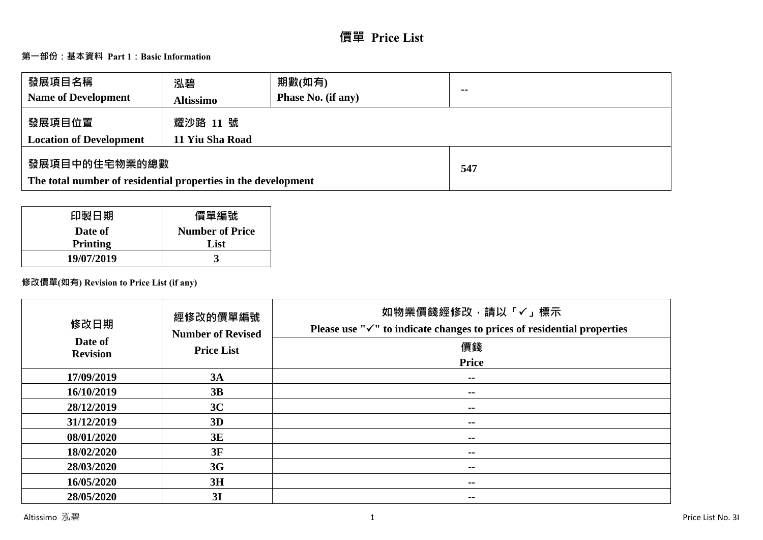# **價單 Price List**

# **第一部份:基本資料 Part 1:Basic Information**

| 發展項目名稱<br><b>Name of Development</b>                                           | 泓碧<br><b>Altissimo</b>      | 期數(如有)<br><b>Phase No. (if any)</b> | $\sim$ |
|--------------------------------------------------------------------------------|-----------------------------|-------------------------------------|--------|
| 發展項目位置<br><b>Location of Development</b>                                       | 耀沙路 11 號<br>11 Yiu Sha Road |                                     |        |
| 發展項目中的住宅物業的總數<br>The total number of residential properties in the development |                             |                                     | 547    |

| 印製日期       | 價單編號                   |
|------------|------------------------|
| Date of    | <b>Number of Price</b> |
| Printing   | List                   |
| 19/07/2019 |                        |

# **修改價單(如有) Revision to Price List (if any)**

| 修改日期<br>Date of<br><b>Revision</b> | 經修改的價單編號<br><b>Number of Revised</b><br><b>Price List</b> | 如物業價錢經修改,請以「✓」標示<br>Please use " $\checkmark$ " to indicate changes to prices of residential properties<br>價錢 |
|------------------------------------|-----------------------------------------------------------|---------------------------------------------------------------------------------------------------------------|
|                                    |                                                           | <b>Price</b>                                                                                                  |
| 17/09/2019                         | 3A                                                        | $\sim$ $-$                                                                                                    |
| 16/10/2019                         | 3B                                                        | $- -$                                                                                                         |
| 28/12/2019                         | 3C                                                        | $- -$                                                                                                         |
| 31/12/2019                         | 3D                                                        | --                                                                                                            |
| 08/01/2020                         | 3E                                                        | --                                                                                                            |
| 18/02/2020                         | 3F                                                        | --                                                                                                            |
| 28/03/2020                         | 3G                                                        | --                                                                                                            |
| 16/05/2020                         | 3H                                                        | --                                                                                                            |
| 28/05/2020                         | 3I                                                        | --                                                                                                            |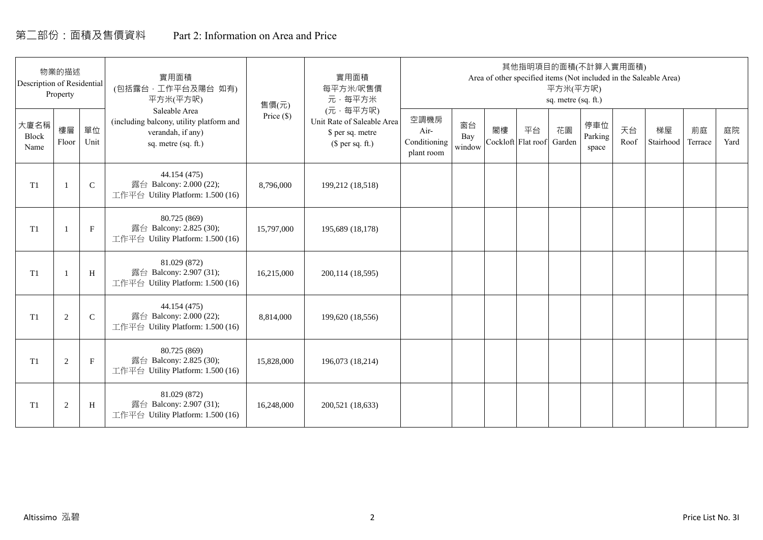# 第二部份:面積及售價資料 Part 2: Information on Area and Price

| Description of Residential | 物業的描述<br>Property |             | 實用面積<br>(包括露台,工作平台及陽台 如有)<br>平方米(平方呎)                                                                 | 售價(元)        | 實用面積<br>每平方米/呎售價<br>元·每平方米                                                     |                                            |                     |    | 其他指明項目的面積(不計算入實用面積)      | 平方米(平方呎)<br>sq. metre (sq. ft.) |                         |            | Area of other specified items (Not included in the Saleable Area) |               |            |
|----------------------------|-------------------|-------------|-------------------------------------------------------------------------------------------------------|--------------|--------------------------------------------------------------------------------|--------------------------------------------|---------------------|----|--------------------------|---------------------------------|-------------------------|------------|-------------------------------------------------------------------|---------------|------------|
| 大廈名稱<br>Block<br>Name      | 樓層<br>Floor       | 單位<br>Unit  | Saleable Area<br>(including balcony, utility platform and<br>verandah, if any)<br>sq. metre (sq. ft.) | Price $(\$)$ | (元·每平方呎)<br>Unit Rate of Saleable Area<br>\$ per sq. metre<br>$$$ per sq. ft.) | 空調機房<br>Air-<br>Conditioning<br>plant room | 窗台<br>Bay<br>window | 閣樓 | 平台<br>Cockloft Flat roof | 花園<br>Garden                    | 停車位<br>Parking<br>space | 天台<br>Roof | 梯屋<br>Stairhood                                                   | 前庭<br>Terrace | 庭院<br>Yard |
| T <sub>1</sub>             |                   | $\mathsf C$ | 44.154 (475)<br>露台 Balcony: 2.000 (22);<br>工作平台 Utility Platform: 1.500 (16)                          | 8,796,000    | 199,212 (18,518)                                                               |                                            |                     |    |                          |                                 |                         |            |                                                                   |               |            |
| T <sub>1</sub>             |                   | $\mathbf F$ | 80.725 (869)<br>露台 Balcony: 2.825 (30);<br>工作平台 Utility Platform: 1.500 (16)                          | 15,797,000   | 195,689 (18,178)                                                               |                                            |                     |    |                          |                                 |                         |            |                                                                   |               |            |
| T <sub>1</sub>             |                   | H           | 81.029 (872)<br>露台 Balcony: 2.907 (31);<br>工作平台 Utility Platform: 1.500 (16)                          | 16,215,000   | 200,114 (18,595)                                                               |                                            |                     |    |                          |                                 |                         |            |                                                                   |               |            |
| T1                         | 2                 | $\mathbf C$ | 44.154 (475)<br>露台 Balcony: 2.000 (22);<br>工作平台 Utility Platform: 1.500 (16)                          | 8,814,000    | 199,620 (18,556)                                                               |                                            |                     |    |                          |                                 |                         |            |                                                                   |               |            |
| T1                         | 2                 | $\mathbf F$ | 80.725 (869)<br>露台 Balcony: 2.825 (30);<br>工作平台 Utility Platform: 1.500 (16)                          | 15,828,000   | 196,073 (18,214)                                                               |                                            |                     |    |                          |                                 |                         |            |                                                                   |               |            |
| T1                         | $\overline{2}$    | H           | 81.029 (872)<br>露台 Balcony: 2.907 (31);<br>工作平台 Utility Platform: 1.500 (16)                          | 16,248,000   | 200,521 (18,633)                                                               |                                            |                     |    |                          |                                 |                         |            |                                                                   |               |            |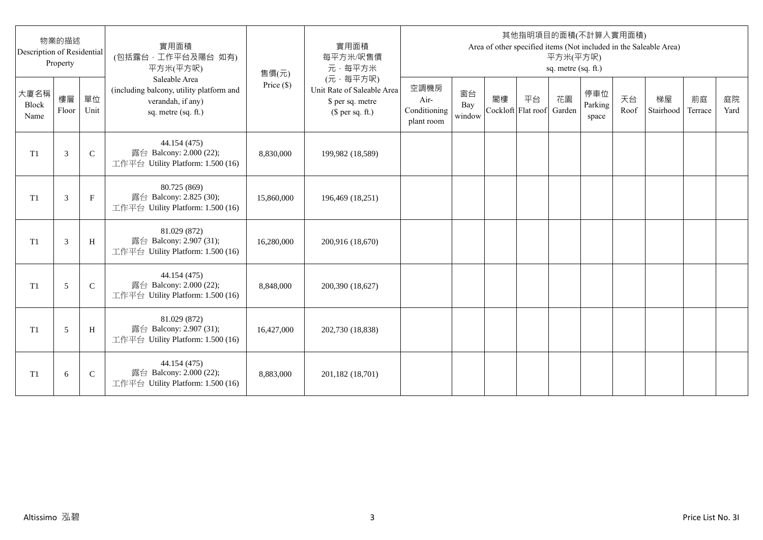| Description of Residential | 物業的描述<br>Property |               | 實用面積<br>(包括露台,工作平台及陽台 如有)<br>平方米(平方呎)                                                                 | 售價(元)      | 實用面積<br>每平方米/呎售價<br>元·每平方米                                                     |                                            |                     |    |                          | 平方米(平方呎)<br>sq. metre (sq. ft.) | 其他指明項目的面積(不計算入實用面積)     |            | Area of other specified items (Not included in the Saleable Area) |               |            |
|----------------------------|-------------------|---------------|-------------------------------------------------------------------------------------------------------|------------|--------------------------------------------------------------------------------|--------------------------------------------|---------------------|----|--------------------------|---------------------------------|-------------------------|------------|-------------------------------------------------------------------|---------------|------------|
| 大廈名稱<br>Block<br>Name      | 樓層<br>Floor       | 單位<br>Unit    | Saleable Area<br>(including balcony, utility platform and<br>verandah, if any)<br>sq. metre (sq. ft.) | Price (\$) | (元·每平方呎)<br>Unit Rate of Saleable Area<br>\$ per sq. metre<br>$$$ per sq. ft.) | 空調機房<br>Air-<br>Conditioning<br>plant room | 窗台<br>Bay<br>window | 閣樓 | 平台<br>Cockloft Flat roof | 花園<br>Garden                    | 停車位<br>Parking<br>space | 天台<br>Roof | 梯屋<br>Stairhood                                                   | 前庭<br>Terrace | 庭院<br>Yard |
| T1                         | 3                 | $\mathsf{C}$  | 44.154 (475)<br>露台 Balcony: 2.000 (22);<br>工作平台 Utility Platform: 1.500 (16)                          | 8,830,000  | 199,982 (18,589)                                                               |                                            |                     |    |                          |                                 |                         |            |                                                                   |               |            |
| T1                         | 3                 | $\mathbf{F}$  | 80.725 (869)<br>露台 Balcony: 2.825 (30);<br>工作平台 Utility Platform: 1.500 (16)                          | 15,860,000 | 196,469 (18,251)                                                               |                                            |                     |    |                          |                                 |                         |            |                                                                   |               |            |
| T1                         | 3                 | H             | 81.029 (872)<br>露台 Balcony: 2.907 (31);<br>工作平台 Utility Platform: 1.500 (16)                          | 16,280,000 | 200,916 (18,670)                                                               |                                            |                     |    |                          |                                 |                         |            |                                                                   |               |            |
| T1                         | 5                 | $\mathcal{C}$ | 44.154 (475)<br>露台 Balcony: 2.000 (22);<br>工作平台 Utility Platform: 1.500 (16)                          | 8,848,000  | 200,390 (18,627)                                                               |                                            |                     |    |                          |                                 |                         |            |                                                                   |               |            |
| T <sub>1</sub>             | 5                 | H             | 81.029 (872)<br>露台 Balcony: 2.907 (31);<br>工作平台 Utility Platform: 1.500 (16)                          | 16,427,000 | 202,730 (18,838)                                                               |                                            |                     |    |                          |                                 |                         |            |                                                                   |               |            |
| T <sub>1</sub>             | 6                 | $\mathsf{C}$  | 44.154 (475)<br>露台 Balcony: 2.000 (22);<br>工作平台 Utility Platform: 1.500 (16)                          | 8,883,000  | 201,182 (18,701)                                                               |                                            |                     |    |                          |                                 |                         |            |                                                                   |               |            |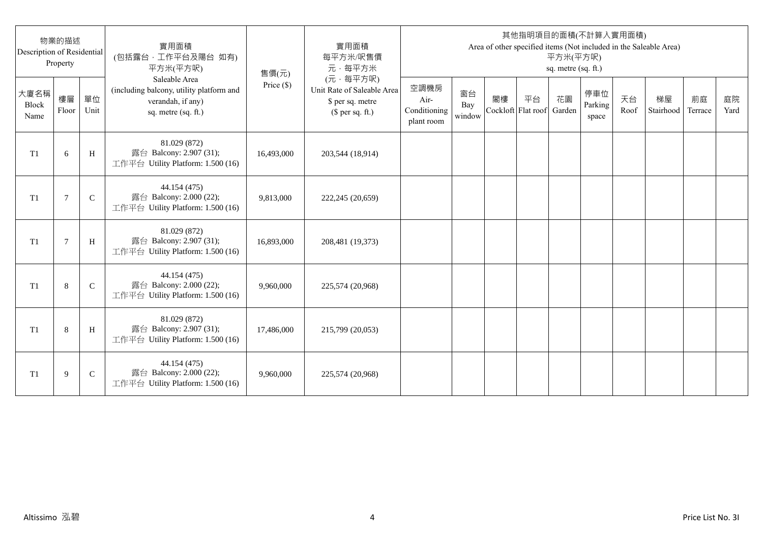| Description of Residential | 物業的描述<br>Property |              | 實用面積<br>(包括露台,工作平台及陽台 如有)<br>平方米(平方呎)                                                                 | 售價(元)      | 實用面積<br>每平方米/呎售價<br>元·每平方米                                                     |                                            |                     |                          |    | 平方米(平方呎)<br>sq. metre (sq. ft.) | 其他指明項目的面積(不計算入實用面積)     |            | Area of other specified items (Not included in the Saleable Area) |               |            |
|----------------------------|-------------------|--------------|-------------------------------------------------------------------------------------------------------|------------|--------------------------------------------------------------------------------|--------------------------------------------|---------------------|--------------------------|----|---------------------------------|-------------------------|------------|-------------------------------------------------------------------|---------------|------------|
| 大廈名稱<br>Block<br>Name      | 樓層<br>Floor       | 單位<br>Unit   | Saleable Area<br>(including balcony, utility platform and<br>verandah, if any)<br>sq. metre (sq. ft.) | Price (\$) | (元·每平方呎)<br>Unit Rate of Saleable Area<br>\$ per sq. metre<br>$$$ per sq. ft.) | 空調機房<br>Air-<br>Conditioning<br>plant room | 窗台<br>Bay<br>window | 閣樓<br>Cockloft Flat roof | 平台 | 花園<br>Garden                    | 停車位<br>Parking<br>space | 天台<br>Roof | 梯屋<br>Stairhood                                                   | 前庭<br>Terrace | 庭院<br>Yard |
| T <sub>1</sub>             | 6                 | H            | 81.029 (872)<br>露台 Balcony: 2.907 (31);<br>工作平台 Utility Platform: 1.500 (16)                          | 16,493,000 | 203,544 (18,914)                                                               |                                            |                     |                          |    |                                 |                         |            |                                                                   |               |            |
| T <sub>1</sub>             | 7                 | $\mathsf{C}$ | 44.154 (475)<br>露台 Balcony: 2.000 (22);<br>工作平台 Utility Platform: 1.500 (16)                          | 9,813,000  | 222,245 (20,659)                                                               |                                            |                     |                          |    |                                 |                         |            |                                                                   |               |            |
| T1                         | $\overline{7}$    | H            | 81.029 (872)<br>露台 Balcony: 2.907 (31);<br>工作平台 Utility Platform: 1.500 (16)                          | 16,893,000 | 208,481 (19,373)                                                               |                                            |                     |                          |    |                                 |                         |            |                                                                   |               |            |
| T1                         | 8                 | $\mathsf{C}$ | 44.154 (475)<br>露台 Balcony: 2.000 (22);<br>工作平台 Utility Platform: 1.500 (16)                          | 9,960,000  | 225,574 (20,968)                                                               |                                            |                     |                          |    |                                 |                         |            |                                                                   |               |            |
| T1                         | 8                 | H            | 81.029 (872)<br>露台 Balcony: 2.907 (31);<br>工作平台 Utility Platform: 1.500 (16)                          | 17,486,000 | 215,799 (20,053)                                                               |                                            |                     |                          |    |                                 |                         |            |                                                                   |               |            |
| T <sub>1</sub>             | 9                 | $\mathsf{C}$ | 44.154 (475)<br>露台 Balcony: 2.000 (22);<br>工作平台 Utility Platform: 1.500 (16)                          | 9,960,000  | 225,574 (20,968)                                                               |                                            |                     |                          |    |                                 |                         |            |                                                                   |               |            |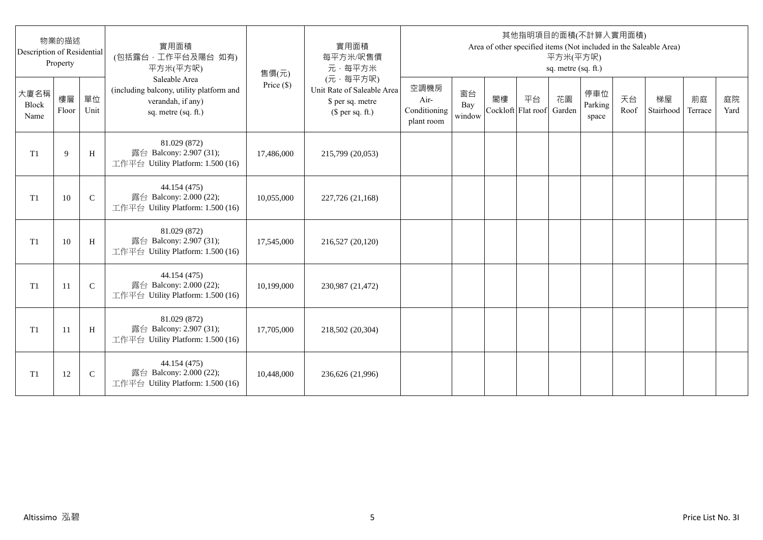| Description of Residential | 物業的描述<br>Property |              | 實用面積<br>(包括露台,工作平台及陽台 如有)<br>平方米(平方呎)                                                                 | 售價(元)      | 實用面積<br>每平方米/呎售價<br>元·每平方米                                                     |                                            |                     |                          |    | 平方米(平方呎)<br>sq. metre (sq. ft.) | 其他指明項目的面積(不計算入實用面積)     |            | Area of other specified items (Not included in the Saleable Area) |               |            |
|----------------------------|-------------------|--------------|-------------------------------------------------------------------------------------------------------|------------|--------------------------------------------------------------------------------|--------------------------------------------|---------------------|--------------------------|----|---------------------------------|-------------------------|------------|-------------------------------------------------------------------|---------------|------------|
| 大廈名稱<br>Block<br>Name      | 樓層<br>Floor       | 單位<br>Unit   | Saleable Area<br>(including balcony, utility platform and<br>verandah, if any)<br>sq. metre (sq. ft.) | Price (\$) | (元·每平方呎)<br>Unit Rate of Saleable Area<br>\$ per sq. metre<br>$$$ per sq. ft.) | 空調機房<br>Air-<br>Conditioning<br>plant room | 窗台<br>Bay<br>window | 閣樓<br>Cockloft Flat roof | 平台 | 花園<br>Garden                    | 停車位<br>Parking<br>space | 天台<br>Roof | 梯屋<br>Stairhood                                                   | 前庭<br>Terrace | 庭院<br>Yard |
| T <sub>1</sub>             | 9                 | H            | 81.029 (872)<br>露台 Balcony: 2.907 (31);<br>工作平台 Utility Platform: 1.500 (16)                          | 17,486,000 | 215,799 (20,053)                                                               |                                            |                     |                          |    |                                 |                         |            |                                                                   |               |            |
| T <sub>1</sub>             | 10                | $\mathsf{C}$ | 44.154 (475)<br>露台 Balcony: 2.000 (22);<br>工作平台 Utility Platform: 1.500 (16)                          | 10,055,000 | 227,726 (21,168)                                                               |                                            |                     |                          |    |                                 |                         |            |                                                                   |               |            |
| T1                         | 10                | H            | 81.029 (872)<br>露台 Balcony: 2.907 (31);<br>工作平台 Utility Platform: 1.500 (16)                          | 17,545,000 | 216,527 (20,120)                                                               |                                            |                     |                          |    |                                 |                         |            |                                                                   |               |            |
| T1                         | 11                | $\mathbf C$  | 44.154 (475)<br>露台 Balcony: 2.000 (22);<br>工作平台 Utility Platform: 1.500 (16)                          | 10,199,000 | 230,987 (21,472)                                                               |                                            |                     |                          |    |                                 |                         |            |                                                                   |               |            |
| T1                         | -11               | H            | 81.029 (872)<br>露台 Balcony: 2.907 (31);<br>工作平台 Utility Platform: 1.500 (16)                          | 17,705,000 | 218,502 (20,304)                                                               |                                            |                     |                          |    |                                 |                         |            |                                                                   |               |            |
| T <sub>1</sub>             | 12                | $\mathsf{C}$ | 44.154 (475)<br>露台 Balcony: 2.000 (22);<br>工作平台 Utility Platform: 1.500 (16)                          | 10,448,000 | 236,626 (21,996)                                                               |                                            |                     |                          |    |                                 |                         |            |                                                                   |               |            |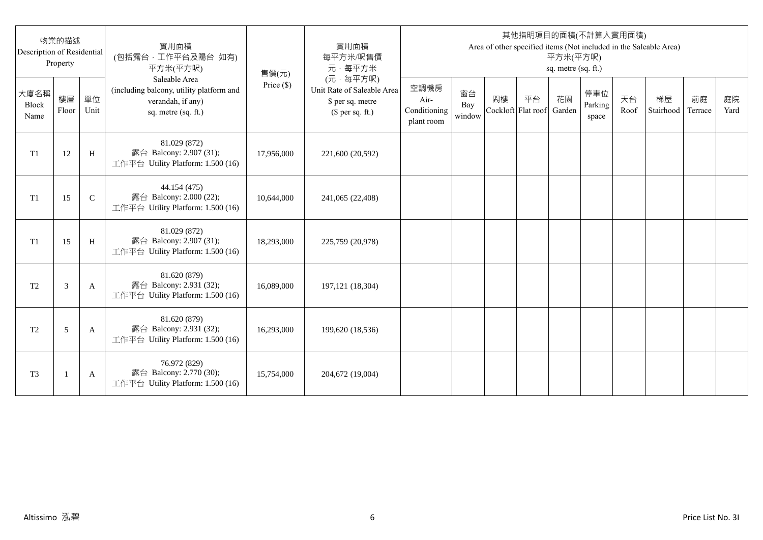| Description of Residential | 物業的描述<br>Property |              | 實用面積<br>(包括露台,工作平台及陽台 如有)<br>平方米(平方呎)                                                                 | 售價(元)      | 實用面積<br>每平方米/呎售價<br>元·每平方米                                                     |                                            |                     |                          |    | 平方米(平方呎)<br>sq. metre (sq. ft.) | 其他指明項目的面積(不計算入實用面積)     |            | Area of other specified items (Not included in the Saleable Area) |               |            |
|----------------------------|-------------------|--------------|-------------------------------------------------------------------------------------------------------|------------|--------------------------------------------------------------------------------|--------------------------------------------|---------------------|--------------------------|----|---------------------------------|-------------------------|------------|-------------------------------------------------------------------|---------------|------------|
| 大廈名稱<br>Block<br>Name      | 樓層<br>Floor       | 單位<br>Unit   | Saleable Area<br>(including balcony, utility platform and<br>verandah, if any)<br>sq. metre (sq. ft.) | Price (\$) | (元·每平方呎)<br>Unit Rate of Saleable Area<br>\$ per sq. metre<br>$$$ per sq. ft.) | 空調機房<br>Air-<br>Conditioning<br>plant room | 窗台<br>Bay<br>window | 閣樓<br>Cockloft Flat roof | 平台 | 花園<br>Garden                    | 停車位<br>Parking<br>space | 天台<br>Roof | 梯屋<br>Stairhood                                                   | 前庭<br>Terrace | 庭院<br>Yard |
| T1                         | 12                | H            | 81.029 (872)<br>露台 Balcony: 2.907 (31);<br>工作平台 Utility Platform: 1.500 (16)                          | 17,956,000 | 221,600 (20,592)                                                               |                                            |                     |                          |    |                                 |                         |            |                                                                   |               |            |
| T1                         | 15                | $\mathsf{C}$ | 44.154 (475)<br>露台 Balcony: 2.000 (22);<br>工作平台 Utility Platform: 1.500 (16)                          | 10,644,000 | 241,065 (22,408)                                                               |                                            |                     |                          |    |                                 |                         |            |                                                                   |               |            |
| T1                         | 15                | H            | 81.029 (872)<br>露台 Balcony: 2.907 (31);<br>工作平台 Utility Platform: 1.500 (16)                          | 18,293,000 | 225,759 (20,978)                                                               |                                            |                     |                          |    |                                 |                         |            |                                                                   |               |            |
| T <sub>2</sub>             | 3                 | A            | 81.620 (879)<br>露台 Balcony: 2.931 (32);<br>工作平台 Utility Platform: 1.500 (16)                          | 16,089,000 | 197, 121 (18, 304)                                                             |                                            |                     |                          |    |                                 |                         |            |                                                                   |               |            |
| T <sub>2</sub>             | 5                 | A            | 81.620 (879)<br>露台 Balcony: 2.931 (32);<br>工作平台 Utility Platform: 1.500 (16)                          | 16,293,000 | 199,620 (18,536)                                                               |                                            |                     |                          |    |                                 |                         |            |                                                                   |               |            |
| T <sub>3</sub>             |                   | A            | 76.972 (829)<br>露台 Balcony: 2.770 (30);<br>工作平台 Utility Platform: 1.500 (16)                          | 15,754,000 | 204,672 (19,004)                                                               |                                            |                     |                          |    |                                 |                         |            |                                                                   |               |            |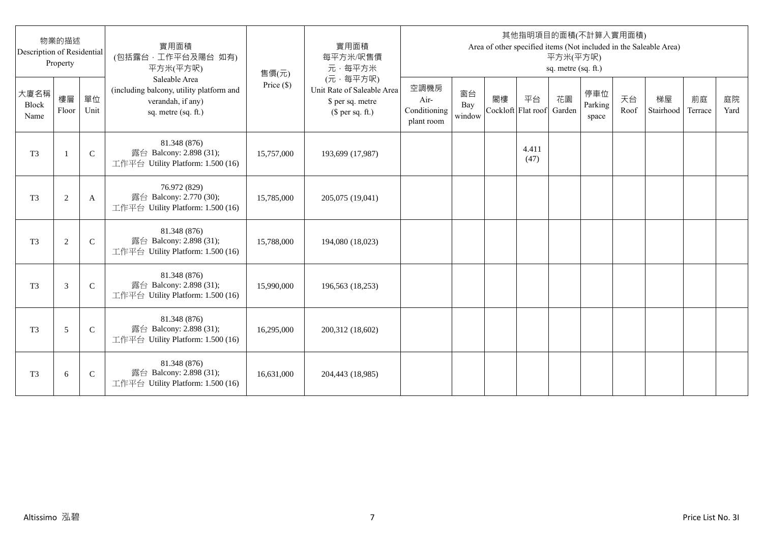| Description of Residential | 物業的描述<br>Property |              | 實用面積<br>(包括露台,工作平台及陽台 如有)<br>平方米(平方呎)                                                                 | 售價(元)      | 實用面積<br>每平方米/呎售價<br>元·每平方米                                                     |                                            |                     |    |                          | 平方米(平方呎)<br>sq. metre (sq. ft.) | 其他指明項目的面積(不計算入實用面積)     |            | Area of other specified items (Not included in the Saleable Area) |               |            |
|----------------------------|-------------------|--------------|-------------------------------------------------------------------------------------------------------|------------|--------------------------------------------------------------------------------|--------------------------------------------|---------------------|----|--------------------------|---------------------------------|-------------------------|------------|-------------------------------------------------------------------|---------------|------------|
| 大廈名稱<br>Block<br>Name      | 樓層<br>Floor       | 單位<br>Unit   | Saleable Area<br>(including balcony, utility platform and<br>verandah, if any)<br>sq. metre (sq. ft.) | Price (\$) | (元·每平方呎)<br>Unit Rate of Saleable Area<br>\$ per sq. metre<br>$$$ per sq. ft.) | 空調機房<br>Air-<br>Conditioning<br>plant room | 窗台<br>Bay<br>window | 閣樓 | 平台<br>Cockloft Flat roof | 花園<br>Garden                    | 停車位<br>Parking<br>space | 天台<br>Roof | 梯屋<br>Stairhood                                                   | 前庭<br>Terrace | 庭院<br>Yard |
| T <sub>3</sub>             | $\mathbf{1}$      | $\mathsf{C}$ | 81.348 (876)<br>露台 Balcony: 2.898 (31);<br>工作平台 Utility Platform: 1.500 (16)                          | 15,757,000 | 193,699 (17,987)                                                               |                                            |                     |    | 4.411<br>(47)            |                                 |                         |            |                                                                   |               |            |
| T <sub>3</sub>             | $\overline{c}$    | A            | 76.972 (829)<br>露台 Balcony: 2.770 (30);<br>工作平台 Utility Platform: 1.500 (16)                          | 15,785,000 | 205,075 (19,041)                                                               |                                            |                     |    |                          |                                 |                         |            |                                                                   |               |            |
| T <sub>3</sub>             | $\mathbf{2}$      | $\mathsf{C}$ | 81.348 (876)<br>露台 Balcony: 2.898 (31);<br>工作平台 Utility Platform: 1.500 (16)                          | 15,788,000 | 194,080 (18,023)                                                               |                                            |                     |    |                          |                                 |                         |            |                                                                   |               |            |
| T <sub>3</sub>             | 3                 | $\mathsf{C}$ | 81.348 (876)<br>露台 Balcony: 2.898 (31);<br>工作平台 Utility Platform: 1.500 (16)                          | 15,990,000 | 196,563 (18,253)                                                               |                                            |                     |    |                          |                                 |                         |            |                                                                   |               |            |
| T <sub>3</sub>             | 5                 | $\mathsf{C}$ | 81.348 (876)<br>露台 Balcony: 2.898 (31);<br>工作平台 Utility Platform: 1.500 (16)                          | 16,295,000 | 200,312 (18,602)                                                               |                                            |                     |    |                          |                                 |                         |            |                                                                   |               |            |
| T <sub>3</sub>             | 6                 | $\mathsf{C}$ | 81.348 (876)<br>露台 Balcony: 2.898 (31);<br>工作平台 Utility Platform: 1.500 (16)                          | 16,631,000 | 204,443 (18,985)                                                               |                                            |                     |    |                          |                                 |                         |            |                                                                   |               |            |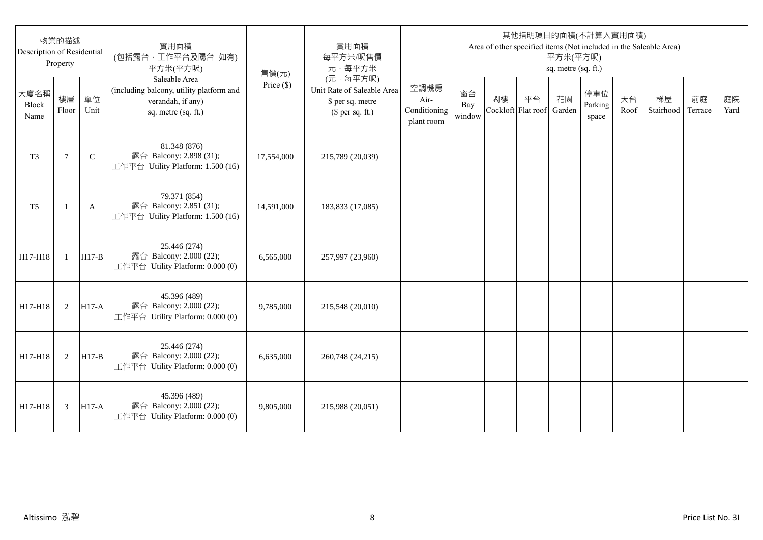| Description of Residential | 物業的描述<br>Property |              | 實用面積<br>(包括露台,工作平台及陽台 如有)<br>平方米(平方呎)                                                                 | 售價(元)      | 實用面積<br>每平方米/呎售價<br>元·每平方米                                                     |                                            |                     |                          |    | 平方米(平方呎)<br>sq. metre (sq. ft.) | 其他指明項目的面積(不計算入實用面積)     |            | Area of other specified items (Not included in the Saleable Area) |               |            |
|----------------------------|-------------------|--------------|-------------------------------------------------------------------------------------------------------|------------|--------------------------------------------------------------------------------|--------------------------------------------|---------------------|--------------------------|----|---------------------------------|-------------------------|------------|-------------------------------------------------------------------|---------------|------------|
| 大廈名稱<br>Block<br>Name      | 樓層<br>Floor       | 單位<br>Unit   | Saleable Area<br>(including balcony, utility platform and<br>verandah, if any)<br>sq. metre (sq. ft.) | Price (\$) | (元·每平方呎)<br>Unit Rate of Saleable Area<br>\$ per sq. metre<br>$$$ per sq. ft.) | 空調機房<br>Air-<br>Conditioning<br>plant room | 窗台<br>Bay<br>window | 閣樓<br>Cockloft Flat roof | 平台 | 花園<br>Garden                    | 停車位<br>Parking<br>space | 天台<br>Roof | 梯屋<br>Stairhood                                                   | 前庭<br>Terrace | 庭院<br>Yard |
| T <sub>3</sub>             | $\tau$            | $\mathsf{C}$ | 81.348 (876)<br>露台 Balcony: 2.898 (31);<br>工作平台 Utility Platform: 1.500 (16)                          | 17,554,000 | 215,789 (20,039)                                                               |                                            |                     |                          |    |                                 |                         |            |                                                                   |               |            |
| T <sub>5</sub>             |                   | A            | 79.371 (854)<br>露台 Balcony: 2.851 (31);<br>工作平台 Utility Platform: 1.500 (16)                          | 14,591,000 | 183,833 (17,085)                                                               |                                            |                     |                          |    |                                 |                         |            |                                                                   |               |            |
| H17-H18                    | $\mathbf{1}$      | $H17-B$      | 25.446 (274)<br>露台 Balcony: 2.000 (22);<br>工作平台 Utility Platform: 0.000 (0)                           | 6,565,000  | 257,997 (23,960)                                                               |                                            |                     |                          |    |                                 |                         |            |                                                                   |               |            |
| H17-H18                    | 2                 | $H17-A$      | 45.396 (489)<br>露台 Balcony: 2.000 (22);<br>工作平台 Utility Platform: 0.000 (0)                           | 9,785,000  | 215,548 (20,010)                                                               |                                            |                     |                          |    |                                 |                         |            |                                                                   |               |            |
| H17-H18                    | 2                 | $H17-B$      | 25.446 (274)<br>露台 Balcony: 2.000 (22);<br>工作平台 Utility Platform: 0.000 (0)                           | 6,635,000  | 260,748 (24,215)                                                               |                                            |                     |                          |    |                                 |                         |            |                                                                   |               |            |
| H17-H18                    | 3                 | <b>H17-A</b> | 45.396 (489)<br>露台 Balcony: 2.000 (22);<br>工作平台 Utility Platform: 0.000 (0)                           | 9,805,000  | 215,988 (20,051)                                                               |                                            |                     |                          |    |                                 |                         |            |                                                                   |               |            |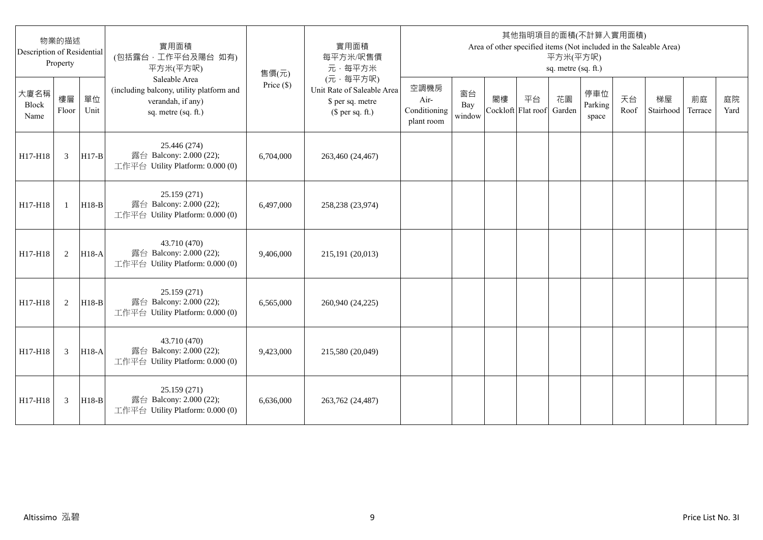| Description of Residential | 物業的描述<br>Property |              | 實用面積<br>(包括露台,工作平台及陽台 如有)<br>平方米(平方呎)                                                                 | 售價(元)      | 實用面積<br>每平方米/呎售價<br>元·每平方米                                                     |                                            |                     |                          |    | 平方米(平方呎)<br>sq. metre (sq. ft.) | 其他指明項目的面積(不計算入實用面積)     |            | Area of other specified items (Not included in the Saleable Area) |               |            |
|----------------------------|-------------------|--------------|-------------------------------------------------------------------------------------------------------|------------|--------------------------------------------------------------------------------|--------------------------------------------|---------------------|--------------------------|----|---------------------------------|-------------------------|------------|-------------------------------------------------------------------|---------------|------------|
| 大廈名稱<br>Block<br>Name      | 樓層<br>Floor       | 單位<br>Unit   | Saleable Area<br>(including balcony, utility platform and<br>verandah, if any)<br>sq. metre (sq. ft.) | Price (\$) | (元·每平方呎)<br>Unit Rate of Saleable Area<br>\$ per sq. metre<br>$$$ per sq. ft.) | 空調機房<br>Air-<br>Conditioning<br>plant room | 窗台<br>Bay<br>window | 閣樓<br>Cockloft Flat roof | 平台 | 花園<br>Garden                    | 停車位<br>Parking<br>space | 天台<br>Roof | 梯屋<br>Stairhood                                                   | 前庭<br>Terrace | 庭院<br>Yard |
| H17-H18                    | 3                 | $H17-B$      | 25.446 (274)<br>露台 Balcony: 2.000 (22);<br>工作平台 Utility Platform: 0.000 (0)                           | 6,704,000  | 263,460 (24,467)                                                               |                                            |                     |                          |    |                                 |                         |            |                                                                   |               |            |
| H17-H18                    | $\mathbf{1}$      | $H18-B$      | 25.159 (271)<br>露台 Balcony: 2.000 (22);<br>工作平台 Utility Platform: 0.000 (0)                           | 6.497,000  | 258,238 (23,974)                                                               |                                            |                     |                          |    |                                 |                         |            |                                                                   |               |            |
| H17-H18                    | 2                 | <b>H18-A</b> | 43.710 (470)<br>露台 Balcony: 2.000 (22);<br>工作平台 Utility Platform: 0.000 (0)                           | 9,406,000  | 215,191 (20,013)                                                               |                                            |                     |                          |    |                                 |                         |            |                                                                   |               |            |
| H17-H18                    | 2                 | $H18-B$      | 25.159 (271)<br>露台 Balcony: 2.000 (22);<br>工作平台 Utility Platform: 0.000 (0)                           | 6,565,000  | 260,940 (24,225)                                                               |                                            |                     |                          |    |                                 |                         |            |                                                                   |               |            |
| H17-H18                    | 3                 | H18-A        | 43.710 (470)<br>露台 Balcony: 2.000 (22);<br>工作平台 Utility Platform: 0.000 (0)                           | 9,423,000  | 215,580 (20,049)                                                               |                                            |                     |                          |    |                                 |                         |            |                                                                   |               |            |
| H17-H18                    | 3                 | $H18-B$      | 25.159 (271)<br>露台 Balcony: 2.000 (22);<br>工作平台 Utility Platform: 0.000 (0)                           | 6.636,000  | 263,762 (24,487)                                                               |                                            |                     |                          |    |                                 |                         |            |                                                                   |               |            |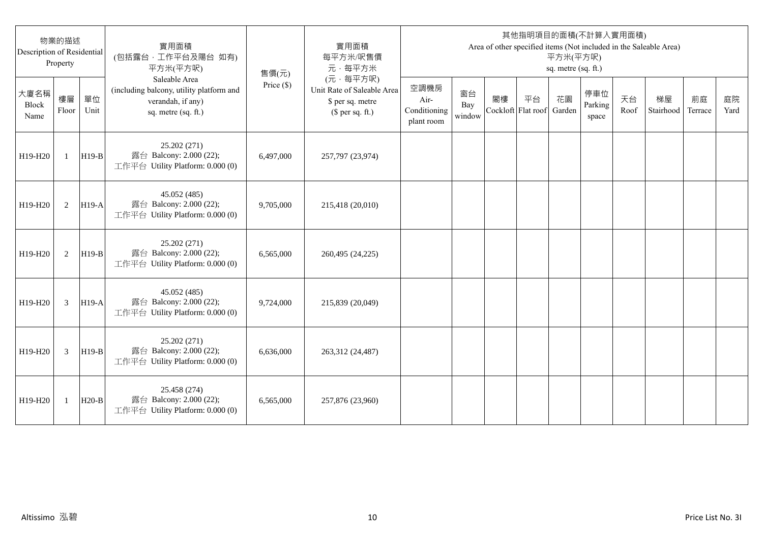| Description of Residential | 物業的描述<br>Property |            | 實用面積<br>(包括露台,工作平台及陽台 如有)<br>平方米(平方呎)                                                                 | 售價(元)        | 實用面積<br>每平方米/呎售價<br>元·每平方米                                                     |                                            |                     |    |                          | 平方米(平方呎)<br>sq. metre (sq. ft.) | 其他指明項目的面積(不計算入實用面積)     |            | Area of other specified items (Not included in the Saleable Area) |               |            |
|----------------------------|-------------------|------------|-------------------------------------------------------------------------------------------------------|--------------|--------------------------------------------------------------------------------|--------------------------------------------|---------------------|----|--------------------------|---------------------------------|-------------------------|------------|-------------------------------------------------------------------|---------------|------------|
| 大廈名稱<br>Block<br>Name      | 樓層<br>Floor       | 單位<br>Unit | Saleable Area<br>(including balcony, utility platform and<br>verandah, if any)<br>sq. metre (sq. ft.) | Price $(\$)$ | (元·每平方呎)<br>Unit Rate of Saleable Area<br>\$ per sq. metre<br>$$$ per sq. ft.) | 空調機房<br>Air-<br>Conditioning<br>plant room | 窗台<br>Bay<br>window | 閣樓 | 平台<br>Cockloft Flat roof | 花園<br>Garden                    | 停車位<br>Parking<br>space | 天台<br>Roof | 梯屋<br>Stairhood                                                   | 前庭<br>Terrace | 庭院<br>Yard |
| H19-H20                    | $\mathbf{1}$      | $H19-B$    | 25.202 (271)<br>露台 Balcony: 2.000 (22);<br>工作平台 Utility Platform: 0.000 (0)                           | 6,497,000    | 257,797 (23,974)                                                               |                                            |                     |    |                          |                                 |                         |            |                                                                   |               |            |
| H19-H20                    | 2                 | $H19-A$    | 45.052 (485)<br>露台 Balcony: 2.000 (22);<br>工作平台 Utility Platform: 0.000 (0)                           | 9,705,000    | 215,418 (20,010)                                                               |                                            |                     |    |                          |                                 |                         |            |                                                                   |               |            |
| H19-H20                    | 2                 | $H19-B$    | 25.202 (271)<br>露台 Balcony: 2.000 (22);<br>工作平台 Utility Platform: 0.000 (0)                           | 6.565.000    | 260,495 (24,225)                                                               |                                            |                     |    |                          |                                 |                         |            |                                                                   |               |            |
| H19-H20                    | 3                 | $H19-A$    | 45.052 (485)<br>露台 Balcony: 2.000 (22);<br>工作平台 Utility Platform: 0.000 (0)                           | 9,724,000    | 215,839 (20,049)                                                               |                                            |                     |    |                          |                                 |                         |            |                                                                   |               |            |
| H19-H20                    | 3                 | $H19-B$    | 25.202 (271)<br>露台 Balcony: 2.000 (22);<br>工作平台 Utility Platform: 0.000 (0)                           | 6,636,000    | 263,312 (24,487)                                                               |                                            |                     |    |                          |                                 |                         |            |                                                                   |               |            |
| H19-H20                    | 1                 | $H20-B$    | 25.458 (274)<br>露台 Balcony: 2.000 (22);<br>工作平台 Utility Platform: 0.000 (0)                           | 6,565,000    | 257,876 (23,960)                                                               |                                            |                     |    |                          |                                 |                         |            |                                                                   |               |            |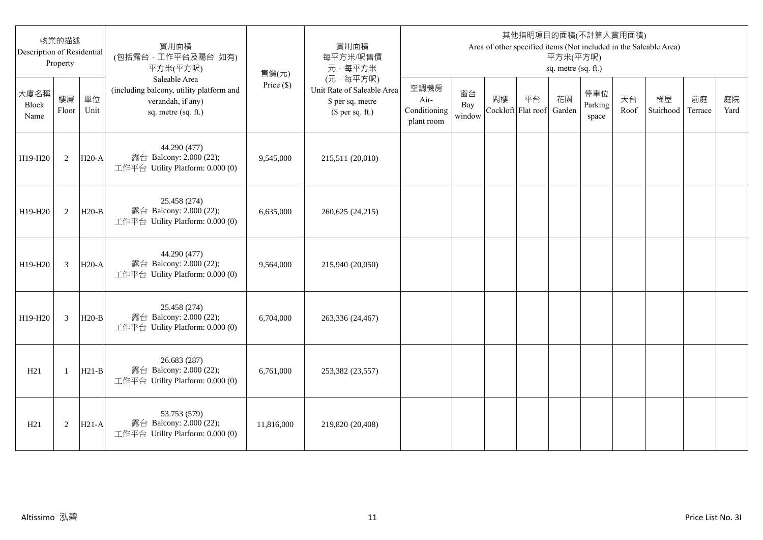| 物業的描述<br>Description of Residential<br>Property |                |            | 實用面積<br>(包括露台,工作平台及陽台 如有)<br>平方米(平方呎)                                                                 | 售價(元)        | 實用面積<br>每平方米/呎售價<br>元·每平方米                                                     | 其他指明項目的面積(不計算入實用面積)<br>Area of other specified items (Not included in the Saleable Area)<br>平方米(平方呎)<br>sq. metre (sq. ft.) |                     |                          |    |              |                         |            |                 |               |            |
|-------------------------------------------------|----------------|------------|-------------------------------------------------------------------------------------------------------|--------------|--------------------------------------------------------------------------------|-----------------------------------------------------------------------------------------------------------------------------|---------------------|--------------------------|----|--------------|-------------------------|------------|-----------------|---------------|------------|
| 大廈名稱<br>Block<br>Name                           | 樓層<br>Floor    | 單位<br>Unit | Saleable Area<br>(including balcony, utility platform and<br>verandah, if any)<br>sq. metre (sq. ft.) | Price $(\$)$ | (元·每平方呎)<br>Unit Rate of Saleable Area<br>\$ per sq. metre<br>$$$ per sq. ft.) | 空調機房<br>Air-<br>Conditioning<br>plant room                                                                                  | 窗台<br>Bay<br>window | 閣樓<br>Cockloft Flat roof | 平台 | 花園<br>Garden | 停車位<br>Parking<br>space | 天台<br>Roof | 梯屋<br>Stairhood | 前庭<br>Terrace | 庭院<br>Yard |
| H19-H20                                         | 2              | $H20-A$    | 44.290 (477)<br>露台 Balcony: 2.000 (22);<br>工作平台 Utility Platform: 0.000 (0)                           | 9,545,000    | 215,511 (20,010)                                                               |                                                                                                                             |                     |                          |    |              |                         |            |                 |               |            |
| H19-H20                                         | 2              | $H20-B$    | 25.458 (274)<br>露台 Balcony: 2.000 (22);<br>工作平台 Utility Platform: 0.000 (0)                           | 6,635,000    | 260,625 (24,215)                                                               |                                                                                                                             |                     |                          |    |              |                         |            |                 |               |            |
| H19-H20                                         | 3              | $H20-A$    | 44.290 (477)<br>露台 Balcony: 2.000 (22);<br>工作平台 Utility Platform: 0.000 (0)                           | 9,564,000    | 215,940 (20,050)                                                               |                                                                                                                             |                     |                          |    |              |                         |            |                 |               |            |
| H19-H20                                         | $\overline{3}$ | $H20-B$    | 25.458 (274)<br>露台 Balcony: 2.000 (22);<br>工作平台 Utility Platform: 0.000 (0)                           | 6,704,000    | 263,336 (24,467)                                                               |                                                                                                                             |                     |                          |    |              |                         |            |                 |               |            |
| H21                                             | $\mathbf{1}$   | $H21-B$    | 26.683 (287)<br>露台 Balcony: 2.000 (22);<br>工作平台 Utility Platform: 0.000 (0)                           | 6,761,000    | 253,382 (23,557)                                                               |                                                                                                                             |                     |                          |    |              |                         |            |                 |               |            |
| H21                                             | 2              | $H21-A$    | 53.753 (579)<br>露台 Balcony: 2.000 (22);<br>工作平台 Utility Platform: 0.000 (0)                           | 11,816,000   | 219,820 (20,408)                                                               |                                                                                                                             |                     |                          |    |              |                         |            |                 |               |            |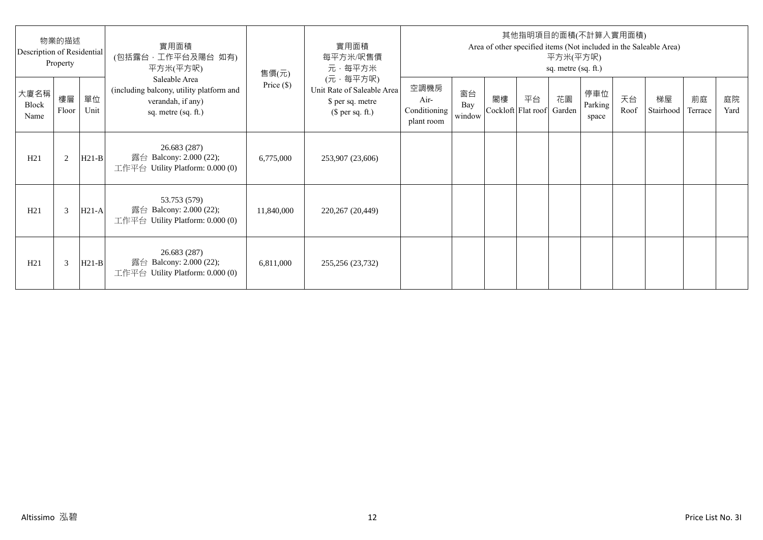| 物業的描述<br>Description of Residential<br>Property |             |            | 實用面積<br>(包括露台·工作平台及陽台 如有)<br>平方米(平方呎)                                                                 | 售價(元)        | 實用面積<br>每平方米/呎售價<br>元·每平方米                                                     | 其他指明項目的面積(不計算入實用面積)<br>Area of other specified items (Not included in the Saleable Area)<br>平方米(平方呎)<br>sq. metre (sq. ft.) |                     |    |                                 |    |                         |            |                 |               |            |
|-------------------------------------------------|-------------|------------|-------------------------------------------------------------------------------------------------------|--------------|--------------------------------------------------------------------------------|-----------------------------------------------------------------------------------------------------------------------------|---------------------|----|---------------------------------|----|-------------------------|------------|-----------------|---------------|------------|
| 大廈名稱<br>Block<br>Name                           | 樓層<br>Floor | 單位<br>Unit | Saleable Area<br>(including balcony, utility platform and<br>verandah, if any)<br>sq. metre (sq. ft.) | Price $(\$)$ | (元·每平方呎)<br>Unit Rate of Saleable Area<br>\$ per sq. metre<br>$$$ per sq. ft.) | 空調機房<br>Air-<br>Conditioning<br>plant room                                                                                  | 窗台<br>Bay<br>window | 閣樓 | 平台<br>Cockloft Flat roof Garden | 花園 | 停車位<br>Parking<br>space | 天台<br>Roof | 梯屋<br>Stairhood | 前庭<br>Terrace | 庭院<br>Yard |
| H21                                             | 2           | $H21-B$    | 26.683 (287)<br>露台 Balcony: 2.000 (22);<br>工作平台 Utility Platform: $0.000(0)$                          | 6,775,000    | 253,907 (23,606)                                                               |                                                                                                                             |                     |    |                                 |    |                         |            |                 |               |            |
| H21                                             | 3           | $H21-A$    | 53.753 (579)<br>露台 Balcony: 2.000 (22);<br>工作平台 Utility Platform: 0.000 (0)                           | 11,840,000   | 220,267 (20,449)                                                               |                                                                                                                             |                     |    |                                 |    |                         |            |                 |               |            |
| H21                                             | 3           | $H21-B$    | 26.683 (287)<br>露台 Balcony: 2.000 (22);<br>工作平台 Utility Platform: $0.000(0)$                          | 6,811,000    | 255,256 (23,732)                                                               |                                                                                                                             |                     |    |                                 |    |                         |            |                 |               |            |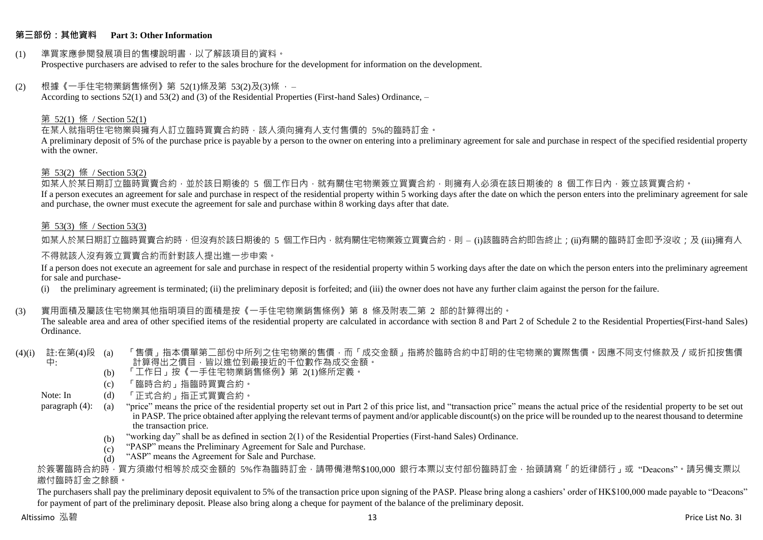# **第三部份:其他資料 Part 3: Other Information**

#### (1) 準買家應參閱發展項目的售樓說明書,以了解該項目的資料。 Prospective purchasers are advised to refer to the sales brochure for the development for information on the development.

#### $(2)$  根據《一手住宅物業銷售條例》第 52(1)條及第 53(2)及(3)條,

According to sections 52(1) and 53(2) and (3) of the Residential Properties (First-hand Sales) Ordinance, –

# 第 52(1) 條 / Section 52(1)

在某人就指明住宅物業與擁有人訂立臨時買賣合約時,該人須向擁有人支付售價的 5%的臨時訂金。

A preliminary deposit of 5% of the purchase price is payable by a person to the owner on entering into a preliminary agreement for sale and purchase in respect of the specified residential property with the owner.

# 第 53(2) 條 / Section 53(2)

————————————————————<br>如某人於某日期訂立臨時買賣合約,並於該日期後的 5 個工作日內,就有關住宅物業簽立買賣合約,則擁有人必須在該日期後的 8 個工作日內,簽立該買賣合約。 If a person executes an agreement for sale and purchase in respect of the residential property within 5 working days after the date on which the person enters into the preliminary agreement for sale and purchase, the owner must execute the agreement for sale and purchase within 8 working days after that date.

# 第 53(3) 條 / Section 53(3)

如某人於某日期訂立臨時買賣合約時,但沒有於該日期後的 5 個工作日內,就有關住宅物業簽立買賣合約,則 – (i)該臨時合約即告終止;(ji)有關的臨時訂金即予沒收;及 (iii)擁有人

# 不得就該人沒有簽立買賣合約而針對該人提出進一步申索。

If a person does not execute an agreement for sale and purchase in respect of the residential property within 5 working days after the date on which the person enters into the preliminary agreement for sale and purchase-

(i) the preliminary agreement is terminated; (ii) the preliminary deposit is forfeited; and (iii) the owner does not have any further claim against the person for the failure.

# (3) 實用面積及屬該住宅物業其他指明項目的面積是按《一手住宅物業銷售條例》第 8 條及附表二第 2 部的計算得出的。

The saleable area and area of other specified items of the residential property are calculated in accordance with section 8 and Part 2 of Schedule 2 to the Residential Properties(First-hand Sales) Ordinance.

#### (4)(i) 註:在第(4)段 中: 「售價」指本價單第二部份中所列之住宅物業的售價,而「成交金額」指將於臨時合約中訂明的住宅物業的實際售價。因應不同支付條款及/或折扣按售價 計算得出之價目,皆以進位到最接近的千位數作為成交金額。

- (b) 「工作日」按《一手住宅物業銷售條例》第 2(1)條所定義。
- (c) 「臨時合約」指臨時買賣合約。
- Note: In (d) 「正式合約」指正式買賣合約。

paragraph (4): (a) "price" means the price of the residential property set out in Part 2 of this price list, and "transaction price" means the actual price of the residential property to be set out in PASP. The price obtained after applying the relevant terms of payment and/or applicable discount(s) on the price will be rounded up to the nearest thousand to determine the transaction price.

- (b) "working day" shall be as defined in section 2(1) of the Residential Properties (First-hand Sales) Ordinance.
- $(c)$ "PASP" means the Preliminary Agreement for Sale and Purchase.
- $(d)$ "ASP" means the Agreement for Sale and Purchase.

於簽署臨時合約時,買方須繳付相等於成交金額的 5%作為臨時訂金,請帶備港幣\$100,000 銀行本票以支付部份臨時訂金,抬頭請寫「的近律師行」或"Deacons"。請另備支票以 繳付臨時訂金之餘額。

The purchasers shall pay the preliminary deposit equivalent to 5% of the transaction price upon signing of the PASP. Please bring along a cashiers' order of HK\$100,000 made payable to "Deacons" for payment of part of the preliminary deposit. Please also bring along a cheque for payment of the balance of the preliminary deposit.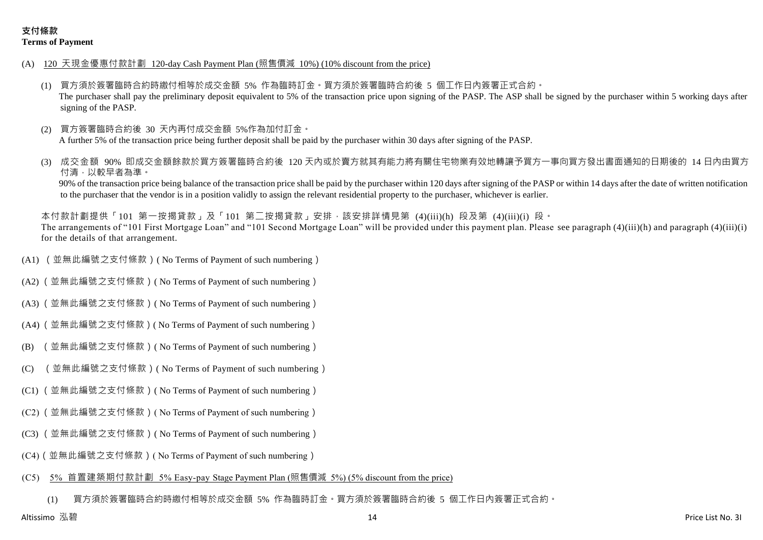- (A) 120 天現金優惠付款計劃 120-day Cash Payment Plan (照售價減 10%) (10% discount from the price)
	- (1) 買方須於簽署臨時合約時繳付相等於成交金額 5% 作為臨時訂金。買方須於簽署臨時合約後 5 個工作日內簽署正式合約。 The purchaser shall pay the preliminary deposit equivalent to 5% of the transaction price upon signing of the PASP. The ASP shall be signed by the purchaser within 5 working days after signing of the PASP.
	- (2) 買方簽署臨時合約後 30 天內再付成交金額 5%作為加付訂金。 A further 5% of the transaction price being further deposit shall be paid by the purchaser within 30 days after signing of the PASP.
	- 成交金額 90% 即成交金額餘款於買方簽署臨時合約後 120 天内或於賣方就其有能力將有關住宅物業有效地轉讓予買方一事向買方發出書面通知的日期後的 14 日內由買方 付清,以較早者為準。

90% of the transaction price being balance of the transaction price shall be paid by the purchaser within 120 days after signing of the PASP or within 14 days after the date of written notification to the purchaser that the vendor is in a position validly to assign the relevant residential property to the purchaser, whichever is earlier.

本付款計劃提供「101 第一按揭貸款」及「101 第二按揭貸款」安排,該安排詳情見第 (4)(iii)(h) 段及第 (4)(iii)(i) 段。 The arrangements of "101 First Mortgage Loan" and "101 Second Mortgage Loan" will be provided under this payment plan. Please see paragraph (4)(iii)(h) and paragraph (4)(iii)(i) for the details of that arrangement.

- (A1) (並無此編號之支付條款)( No Terms of Payment of such numbering)
- (A2) (並無此編號之支付條款)( No Terms of Payment of such numbering)
- (A3) (並無此編號之支付條款)( No Terms of Payment of such numbering)
- (A4) (並無此編號之支付條款)( No Terms of Payment of such numbering)
- (B) (並無此編號之支付條款)( No Terms of Payment of such numbering)
- (C) (並無此編號之支付條款)( No Terms of Payment of such numbering)
- (C1) (並無此編號之支付條款)( No Terms of Payment of such numbering)
- (C2) (並無此編號之支付條款)( No Terms of Payment of such numbering)
- (C3) (並無此編號之支付條款)( No Terms of Payment of such numbering)
- (C4)(並無此編號之支付條款)( No Terms of Payment of such numbering)

#### (C5) 5% 首置建築期付款計劃 5% Easy-pay Stage Payment Plan (照售價減 5%) (5% discount from the price)

(1) 買方須於簽署臨時合約時繳付相等於成交金額 5% 作為臨時訂金。買方須於簽署臨時合約後 5 個工作日內簽署正式合約。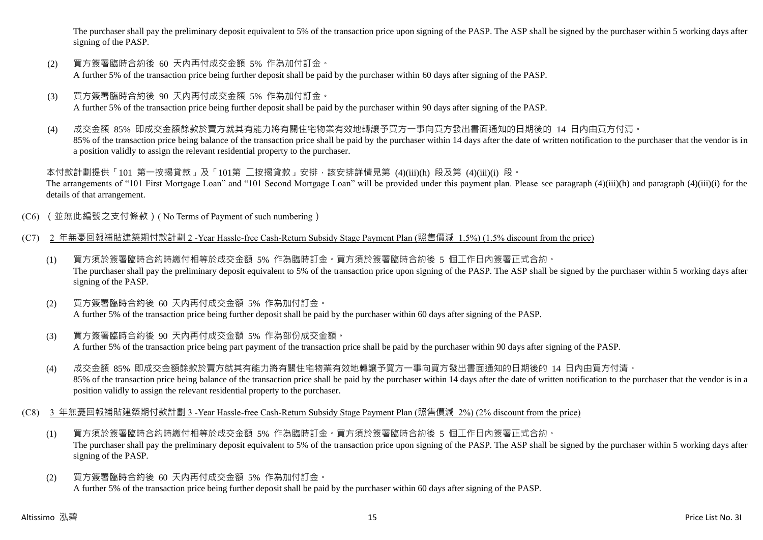The purchaser shall pay the preliminary deposit equivalent to 5% of the transaction price upon signing of the PASP. The ASP shall be signed by the purchaser within 5 working days after signing of the PASP.

- (2) 買方簽署臨時合約後 60 天內再付成交金額 5% 作為加付訂金。 A further 5% of the transaction price being further deposit shall be paid by the purchaser within 60 days after signing of the PASP.
- (3) 買方簽署臨時合約後 90 天內再付成交金額 5% 作為加付訂金。 A further 5% of the transaction price being further deposit shall be paid by the purchaser within 90 days after signing of the PASP.
- (4) 成交金額 85% 即成交金額餘款於賣方就其有能力將有關住宅物業有效地轉讓予買方一事向買方發出書面通知的日期後的 14 日內由買方付清。 85% of the transaction price being balance of the transaction price shall be paid by the purchaser within 14 days after the date of written notification to the purchaser that the vendor is in a position validly to assign the relevant residential property to the purchaser.

本付款計劃提供「101 第一按揭貸款」及「101第 二按揭貸款」安排,該安排詳情見第 (4)(iii)(h) 段及第 (4)(iii)(i) 段。 The arrangements of "101 First Mortgage Loan" and "101 Second Mortgage Loan" will be provided under this payment plan. Please see paragraph (4)(iii)(h) and paragraph (4)(iii)(i) for the details of that arrangement.

- (C6) (並無此編號之支付條款)( No Terms of Payment of such numbering)
- (C7) 2 年無憂回報補貼建築期付款計劃 2 -Year Hassle-free Cash-Return Subsidy Stage Payment Plan (照售價減 1.5%) (1.5% discount from the price)
	- (1) 買方須於簽署臨時合約時繳付相等於成交金額 5% 作為臨時訂金。買方須於簽署臨時合約後 5 個工作日內簽署正式合約。 The purchaser shall pay the preliminary deposit equivalent to 5% of the transaction price upon signing of the PASP. The ASP shall be signed by the purchaser within 5 working days after signing of the PASP.
	- (2) 買方簽署臨時合約後 60 天內再付成交金額 5% 作為加付訂金。 A further 5% of the transaction price being further deposit shall be paid by the purchaser within 60 days after signing of the PASP.
	- (3) 買方簽署臨時合約後 90 天內再付成交金額 5% 作為部份成交金額。 A further 5% of the transaction price being part payment of the transaction price shall be paid by the purchaser within 90 days after signing of the PASP.
	- (4) 成交金額 85% 即成交金額餘款於賣方就其有能力將有關住宅物業有效地轉讓予買方一事向買方發出書面通知的日期後的 14 日內由買方付清。 85% of the transaction price being balance of the transaction price shall be paid by the purchaser within 14 days after the date of written notification to the purchaser that the vendor is in a position validly to assign the relevant residential property to the purchaser.
- (C8) 3 年無憂回報補貼建築期付款計劃 3 -Year Hassle-free Cash-Return Subsidy Stage Payment Plan (照售價減 2%) (2% discount from the price)
	- (1) 買方須於簽署臨時合約時繳付相等於成交金額 5% 作為臨時訂金。買方須於簽署臨時合約後 5 個工作日內簽署正式合約。 The purchaser shall pay the preliminary deposit equivalent to 5% of the transaction price upon signing of the PASP. The ASP shall be signed by the purchaser within 5 working days after signing of the PASP.
	- (2) 買方簽署臨時合約後 60 天內再付成交金額 5% 作為加付訂金。 A further 5% of the transaction price being further deposit shall be paid by the purchaser within 60 days after signing of the PASP.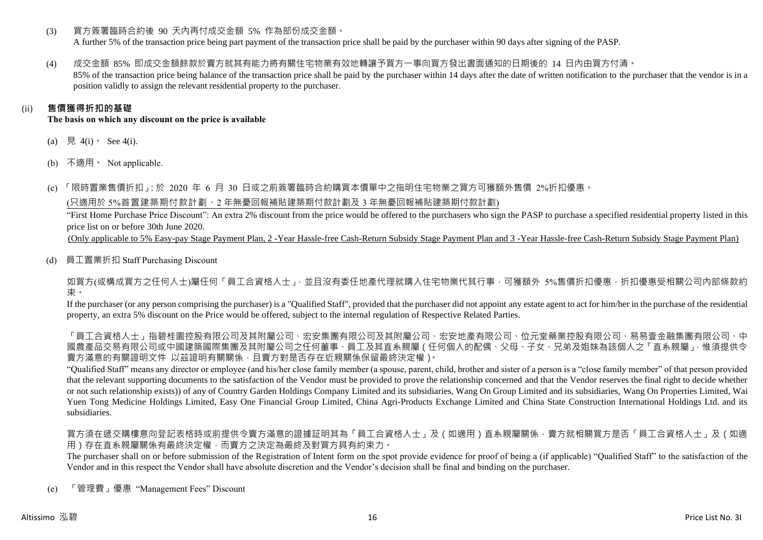(3) 買方簽署臨時合約後 90 天內再付成交金額 5% 作為部份成交金額。

A further 5% of the transaction price being part payment of the transaction price shall be paid by the purchaser within 90 days after signing of the PASP.

(4) 成交金額 85% 即成交金額餘款於賣方就其有能力將有關住宅物業有效地轉讓予買方一事向買方發出書面通知的日期後的 14 日內由買方付清。 85% of the transaction price being balance of the transaction price shall be paid by the purchaser within 14 days after the date of written notification to the purchaser that the vendor is in a

position validly to assign the relevant residential property to the purchaser.

# (ii) **售價獲得折扣的基礎**

**The basis on which any discount on the price is available**

- (a) 見 4(i)  $\text{See } 4(i)$ .
- (b) 不適用。 Not applicable.

(c) 「限時置業售價折扣」:於 2020 年 6 月 30 日或之前簽署臨時合約購買本價單中之指明住宅物業之買方可獲額外售價 2%折扣優惠。

(只適用於 5%首置建築期付款計劃、2 年無憂回報補貼建築期付款計劃及 3 年無憂回報補貼建築期付款計劃)

"First Home Purchase Price Discount": An extra 2% discount from the price would be offered to the purchasers who sign the PASP to purchase a specified residential property listed in this price list on or before 30th June 2020.

(Only applicable to 5% Easy-pay Stage Payment Plan, 2 -Year Hassle-free Cash-Return Subsidy Stage Payment Plan and 3 -Year Hassle-free Cash-Return Subsidy Stage Payment Plan)

(d) 員工置業折扣 Staff Purchasing Discount

如買方(或構成買方之任何人士)屬任何「員工合資格人士」,並且沒有委任地產代理就購入住宅物業代其行事,可獲額外 5%售價折扣優惠,折扣優惠受相關公司內部條款約 束。

If the purchaser (or any person comprising the purchaser) is a "Qualified Staff", provided that the purchaser did not appoint any estate agent to act for him/her in the purchase of the residential property, an extra 5% discount on the Price would be offered, subject to the internal regulation of Respective Related Parties.

「員工合資格人士」再提集的要求,在學院有限公司、社会、社会、社会、社会、社会社科学、社会有限公司、社会科学、科学、科学、科学、科学、科学、科学、科学、科学、科学 國農產品交易有限公司或中國建築國際集團及其附屬公司之任何董事、員工及其直系親屬(任何個人的配偶、父母、子女、兄弟及姐妹為該個人之「直系親屬」,惟須提供令 賣方滿意的有關證明文件 以茲證明有關關係,且賣方對是否存在近親關係保留最終決定權)。

"Qualified Staff" means any director or employee (and his/her close family member (a spouse, parent, child, brother and sister of a person is a "close family member" of that person provided that the relevant supporting documents to the satisfaction of the Vendor must be provided to prove the relationship concerned and that the Vendor reserves the final right to decide whether or not such relationship exists)) of any of Country Garden Holdings Company Limited and its subsidiaries, Wang On Group Limited and its subsidiaries, Wang On Properties Limited, Wai Yuen Tong Medicine Holdings Limited, Easy One Financial Group Limited, China Agri-Products Exchange Limited and China State Construction International Holdings Ltd. and its subsidiaries.

買方須在遞交購樓意向登記表格時或前提供令賣方滿意的證據証明其為「員工合資格人士」及(如適用)直系親屬關係,賣方就相關買方是否「員工合資格人士」及(如適 用)存在直系親屬關係有最終決定權,而賣方之決定為最終及對買方具有約束力。

The purchaser shall on or before submission of the Registration of Intent form on the spot provide evidence for proof of being a (if applicable) "Qualified Staff" to the satisfaction of the Vendor and in this respect the Vendor shall have absolute discretion and the Vendor's decision shall be final and binding on the purchaser.

(e) 「管理費」優惠 "Management Fees" Discount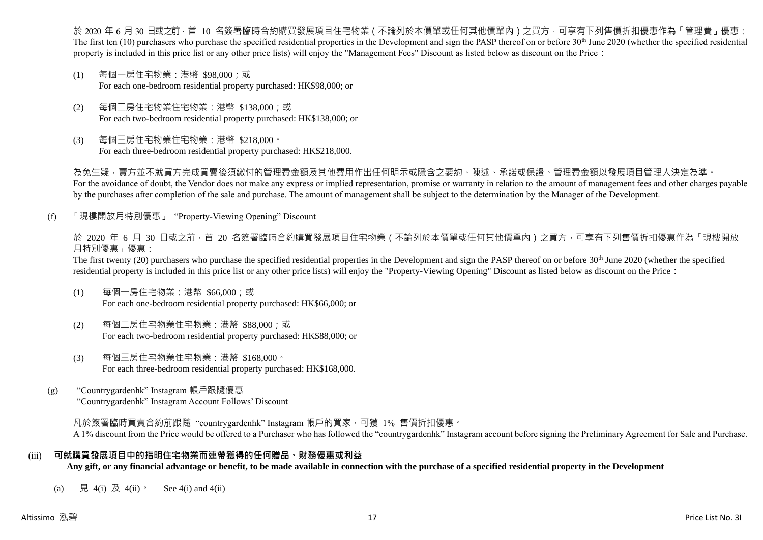於 2020 年 6 月 30 日或之前 · 首 10 名簽署臨時合約購買發展項目住宅物業(不論列於本價單或任何其他價單內)之買方 · 可享有下列售價折扣優惠作為「管理費」優惠: The first ten  $(10)$  purchasers who purchase the specified residential properties in the Development and sign the PASP thereof on or before 30<sup>th</sup> June 2020 (whether the specified residential property is included in this price list or any other price lists) will enjoy the "Management Fees" Discount as listed below as discount on the Price:

- (1) 每個一房住宅物業:港幣 \$98,000;或 For each one-bedroom residential property purchased: HK\$98,000; or
- (2) 每個二房住宅物業住宅物業:港幣 \$138,000;或 For each two-bedroom residential property purchased: HK\$138,000; or
- (3) 每個三房住宅物業住宅物業:港幣 \$218,000。 For each three-bedroom residential property purchased: HK\$218,000.

為免生疑,賣方並不就買方完成買賣後須繳付的管理費金額及其他費用作出任何明示或隱含之要約、陳述、承諾或保證。管理費金額以發展項目管理人決定為準。 For the avoidance of doubt, the Vendor does not make any express or implied representation, promise or warranty in relation to the amount of management fees and other charges payable by the purchases after completion of the sale and purchase. The amount of management shall be subject to the determination by the Manager of the Development.

(f) 「現樓開放月特別優惠」 "Property-Viewing Opening" Discount

於 2020 年 6 月 30 日或之前 · 首 20 名簽署臨時合約購買發展項目住宅物業 ( 不論列於本價單或任何其他價單內 ) 之買方 · 可享有下列售價折扣優惠作為「現樓開放 月特別優惠」優惠:

The first twenty (20) purchasers who purchase the specified residential properties in the Development and sign the PASP thereof on or before 30<sup>th</sup> June 2020 (whether the specified residential property is included in this price list or any other price lists) will enjoy the "Property-Viewing Opening" Discount as listed below as discount on the Price:

- (1) 每個一房住宅物業:港幣 \$66,000;或 For each one-bedroom residential property purchased: HK\$66,000; or
- (2) 每個二房住宅物業住宅物業:港幣 \$88,000;或 For each two-bedroom residential property purchased: HK\$88,000; or
- (3) 每個三房住宅物業住宅物業:港幣 \$168,000。 For each three-bedroom residential property purchased: HK\$168,000.
- (g) "Countrygardenhk" Instagram 帳戶跟隨優惠 "Countrygardenhk" Instagram Account Follows' Discount

凡於簽署臨時買賣合約前跟隨"countrygardenhk" Instagram 帳戶的買家,可獲 1% 售價折扣優惠。 A 1% discount from the Price would be offered to a Purchaser who has followed the "countrygardenhk" Instagram account before signing the Preliminary Agreement for Sale and Purchase.

# (iii) **可就購買發展項目中的指明住宅物業而連帶獲得的任何贈品、財務優惠或利益**

**Any gift, or any financial advantage or benefit, to be made available in connection with the purchase of a specified residential property in the Development**

(a) 見 4(i) 及 4(ii)。 See 4(i) and 4(ii)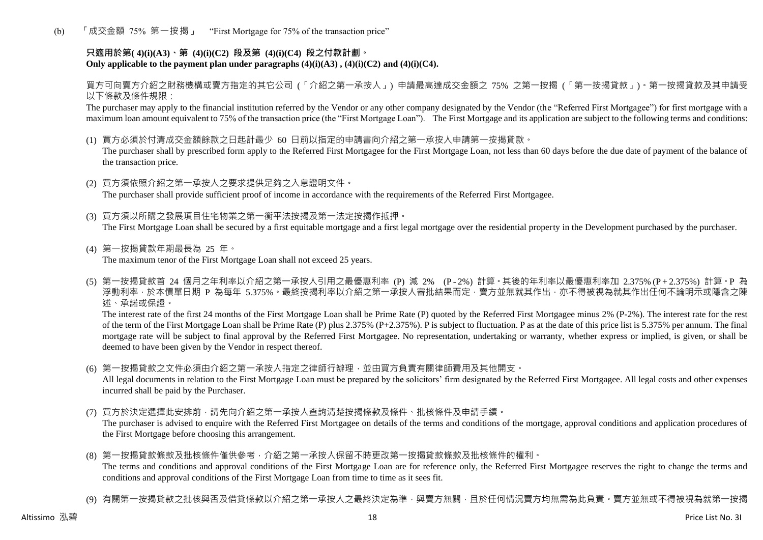(b) 「成交金額 75% 第一按揭」 "First Mortgage for 75% of the transaction price"

# **只適用於第( 4)(i)(A3)、第 (4)(i)(C2) 段及第 (4)(i)(C4) 段之付款計劃。** Only applicable to the payment plan under paragraphs  $(4)(i)(A3)$ ,  $(4)(i)(C2)$  and  $(4)(i)(C4)$ .

買方可向賣方介紹之財務機構或賣方指定的其它公司 (「介紹之第一承按人」) 申請最高達成交金額之 75% 之第一按揭 (「第一按揭貸款」)。第一按揭貸款及其申請受 以下條款及條件規限:

The purchaser may apply to the financial institution referred by the Vendor or any other company designated by the Vendor (the "Referred First Mortgagee") for first mortgage with a maximum loan amount equivalent to 75% of the transaction price (the "First Mortgage Loan"). The First Mortgage and its application are subject to the following terms and conditions:

(1) 買方必須於付清成交金額餘款之日起計最少 60 日前以指定的申請書向介紹之第一承按人申請第一按揭貸款。

The purchaser shall by prescribed form apply to the Referred First Mortgagee for the First Mortgage Loan, not less than 60 days before the due date of payment of the balance of the transaction price.

- (2) 買方須依照介紹之第一承按人之要求提供足夠之入息證明文件。 The purchaser shall provide sufficient proof of income in accordance with the requirements of the Referred First Mortgagee.
- (3) 買方須以所購之發展項目住宅物業之第一衡平法按揭及第一法定按揭作抵押。 The First Mortgage Loan shall be secured by a first equitable mortgage and a first legal mortgage over the residential property in the Development purchased by the purchaser.
- (4) 第一按揭貸款年期最長為 25 年。 The maximum tenor of the First Mortgage Loan shall not exceed 25 years.
- (5) 第一按揭貸款首 24 個月之年利率以介紹之第一承按人引用之最優惠利率 (P) 減 2% (P 2%) 計算。其後的年利率以最優惠利率加 2.375% (P + 2.375%) 計算。P 為 浮動利率,於本價單日期 P 為每年 5.375%。最終按揭利率以介紹之第一承按人審批結果而定,賣方並無就其作出,亦不得被視為就其作出任何不論明示或隱含之陳 述、承諾或保證。

The interest rate of the first 24 months of the First Mortgage Loan shall be Prime Rate (P) quoted by the Referred First Mortgagee minus 2% (P-2%). The interest rate for the rest of the term of the First Mortgage Loan shall be Prime Rate (P) plus 2.375% (P+2.375%). P is subject to fluctuation. P as at the date of this price list is 5.375% per annum. The final mortgage rate will be subject to final approval by the Referred First Mortgagee. No representation, undertaking or warranty, whether express or implied, is given, or shall be deemed to have been given by the Vendor in respect thereof.

(6) 第一按揭貸款之文件必須由介紹之第一承按人指定之律師行辦理,並由買方負責有關律師費用及其他開支。

All legal documents in relation to the First Mortgage Loan must be prepared by the solicitors' firm designated by the Referred First Mortgagee. All legal costs and other expenses incurred shall be paid by the Purchaser.

(7) 買方於決定選擇此安排前,請先向介紹之第一承按人查詢清楚按揭條款及條件、批核條件及申請手續。

The purchaser is advised to enquire with the Referred First Mortgagee on details of the terms and conditions of the mortgage, approval conditions and application procedures of the First Mortgage before choosing this arrangement.

- (8) 第一按揭貸款條款及批核條件僅供參考,介紹之第一承按人保留不時更改第一按揭貸款條款及批核條件的權利。 The terms and conditions and approval conditions of the First Mortgage Loan are for reference only, the Referred First Mortgagee reserves the right to change the terms and conditions and approval conditions of the First Mortgage Loan from time to time as it sees fit.
- (9) 有關第一按揭貸款之批核與否及借貸條款以介紹之第一承按人之最終決定為準,與賣方無關,目於任何情況賣方均無需為此負責。賣方並無或不得被視為就第一按揭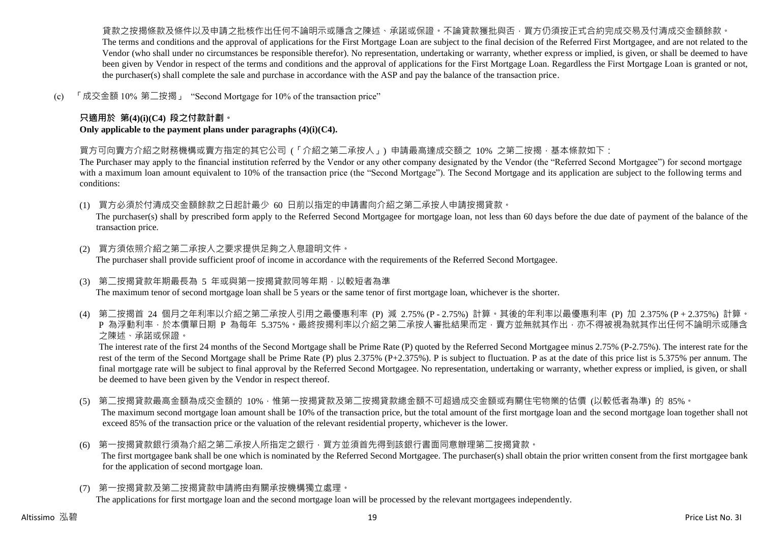貨款之按揭條款及條件以及申請之批核作出任何不論明示或隱含之陳述、承諾或保證。不論貸款獲批與否,買方仍須按正式合約完成交易及付清成交金額餘款。 The terms and conditions and the approval of applications for the First Mortgage Loan are subject to the final decision of the Referred First Mortgagee, and are not related to the Vendor (who shall under no circumstances be responsible therefor). No representation, undertaking or warranty, whether express or implied, is given, or shall be deemed to have been given by Vendor in respect of the terms and conditions and the approval of applications for the First Mortgage Loan. Regardless the First Mortgage Loan is granted or not, the purchaser(s) shall complete the sale and purchase in accordance with the ASP and pay the balance of the transaction price.

(c) 「成交金額 10% 第二按揭」 "Second Mortgage for 10% of the transaction price"

# **只適用於 第(4)(i)(C4) 段之付款計劃。**

**Only applicable to the payment plans under paragraphs (4)(i)(C4).**

買方可向賣方介紹之財務機構或賣方指定的其它公司 (「介紹之第二承按人」) 申請最高達成交額之 10% 之第二按揭,基本條款如下:

The Purchaser may apply to the financial institution referred by the Vendor or any other company designated by the Vendor (the "Referred Second Mortgagee") for second mortgage with a maximum loan amount equivalent to 10% of the transaction price (the "Second Mortgage"). The Second Mortgage and its application are subject to the following terms and conditions:

(1) 買方必須於付清成交金額餘款之日起計最少 60 日前以指定的申請書向介紹之第二承按人申請按揭貸款。

The purchaser(s) shall by prescribed form apply to the Referred Second Mortgagee for mortgage loan, not less than 60 days before the due date of payment of the balance of the transaction price.

- (2) 買方須依照介紹之第二承按人之要求提供足夠之入息證明文件。 The purchaser shall provide sufficient proof of income in accordance with the requirements of the Referred Second Mortgagee.
- (3) 第二按揭貸款年期最長為 5 年或與第一按揭貸款同等年期,以較短者為準 The maximum tenor of second mortgage loan shall be 5 years or the same tenor of first mortgage loan, whichever is the shorter.
- (4) 第二按揭首 24 個月之年利率以介紹之第二承按人引用之最優惠利率 (P) 減 2.75% (P 2.75%) 計算。其後的年利率以最優惠利率 (P) 加 2.375% (P + 2.375%) 計算。 P 為浮動利率,於本價單日期 P 為每年 5.375%。最終按揭利率以介紹之第二承按人審批結果而定,賣方並無就其作出,亦不得被視為就其作出任何不論明示或隱含 之陳述、承諾或保證。

The interest rate of the first 24 months of the Second Mortgage shall be Prime Rate (P) quoted by the Referred Second Mortgagee minus 2.75% (P-2.75%). The interest rate for the rest of the term of the Second Mortgage shall be Prime Rate (P) plus 2.375% (P+2.375%). P is subject to fluctuation. P as at the date of this price list is 5.375% per annum. The final mortgage rate will be subject to final approval by the Referred Second Mortgagee. No representation, undertaking or warranty, whether express or implied, is given, or shall be deemed to have been given by the Vendor in respect thereof.

- (5) 第二按揭貸款最高金額為成交金額的 10%,惟第一按揭貸款及第二按揭貸款總金額不可超過成交金額或有關住宅物業的估價 (以較低者為準) 的 85%。 The maximum second mortgage loan amount shall be 10% of the transaction price, but the total amount of the first mortgage loan and the second mortgage loan together shall not exceed 85% of the transaction price or the valuation of the relevant residential property, whichever is the lower.
- (6) 第一按揭貸款銀行須為介紹之第二承按人所指定之銀行,買方並須首先得到該銀行書面同意辦理第二按揭貸款。 The first mortgagee bank shall be one which is nominated by the Referred Second Mortgagee. The purchaser(s) shall obtain the prior written consent from the first mortgagee bank for the application of second mortgage loan.
- (7) 第一按揭貸款及第二按揭貸款申請將由有關承按機構獨立處理。

The applications for first mortgage loan and the second mortgage loan will be processed by the relevant mortgagees independently.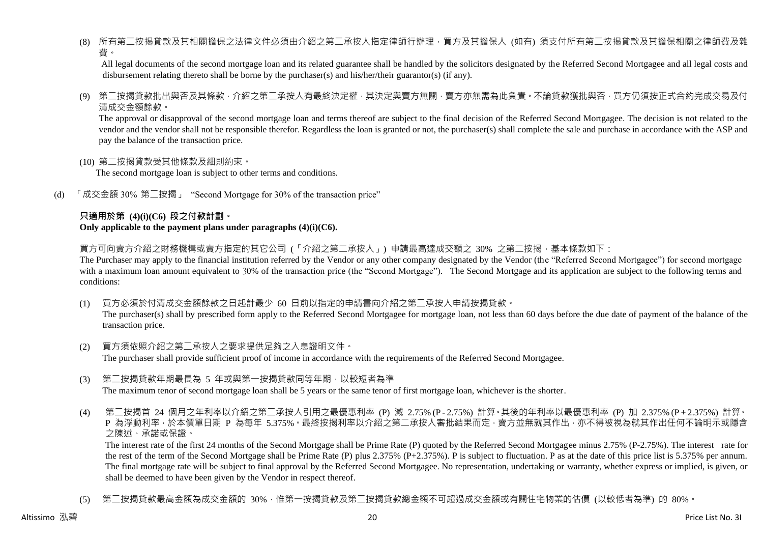(8) 所有第二按揭貸款及其相關擔保之法律文件必須由介紹之第二承按人指定律師行辦理,買方及其擔保人 (如有) 須支付所有第二按揭貸款及其擔保相關之律師費及雜 費。

All legal documents of the second mortgage loan and its related guarantee shall be handled by the solicitors designated by the Referred Second Mortgagee and all legal costs and disbursement relating thereto shall be borne by the purchaser(s) and his/her/their guarantor(s) (if any).

(9) 第二按揭貸款批出與否及其條款,介紹之第二承按人有最終決定權,其決定與賣方無關,賣方亦無需為此負責。不論貸款獲批與否,買方仍須按正式合約完成交易及付 清成交金額餘款。

The approval or disapproval of the second mortgage loan and terms thereof are subject to the final decision of the Referred Second Mortgagee. The decision is not related to the vendor and the vendor shall not be responsible therefor. Regardless the loan is granted or not, the purchaser(s) shall complete the sale and purchase in accordance with the ASP and pay the balance of the transaction price.

(10) 第二按揭貸款受其他條款及細則約束。

The second mortgage loan is subject to other terms and conditions.

(d) 「成交金額 30% 第二按揭」 "Second Mortgage for 30% of the transaction price"

#### **只適用於第 (4)(i)(C6) 段之付款計劃。 Only applicable to the payment plans under paragraphs (4)(i)(C6).**

買方可向賣方介紹之財務機構或賣方指定的其它公司 (「介紹之第二承按人」) 申請最高達成交額之 30% 之第二按揭 · 基本條款如下:

The Purchaser may apply to the financial institution referred by the Vendor or any other company designated by the Vendor (the "Referred Second Mortgagee") for second mortgage with a maximum loan amount equivalent to 30% of the transaction price (the "Second Mortgage"). The Second Mortgage and its application are subject to the following terms and conditions:

(1) 買方必須於付清成交金額餘款之日起計最少 60 日前以指定的申請書向介紹之第二承按人申請按揭貸款。

The purchaser(s) shall by prescribed form apply to the Referred Second Mortgagee for mortgage loan, not less than 60 days before the due date of payment of the balance of the transaction price.

- (2) 買方須依照介紹之第二承按人之要求提供足夠之入息證明文件。 The purchaser shall provide sufficient proof of income in accordance with the requirements of the Referred Second Mortgagee.
- (3) 第二按揭貸款年期最長為 5 年或與第一按揭貸款同等年期,以較短者為準 The maximum tenor of second mortgage loan shall be 5 years or the same tenor of first mortgage loan, whichever is the shorter.
- (4) 第二按揭首 24 個月之年利率以介紹之第二承按人引用之最優惠利率 (P) 減 2.75% (P 2.75%) 計算。其後的年利率以最優惠利率 (P) 加 2.375% (P + 2.375%) 計算。 P 為浮動利率,於本價單日期 P 為每年 5.375%。最終按揭利率以介紹之第二承按人審批結果而定,賣方並無就其作出,亦不得被視為就其作出任何不論明示或隱含 之陳述、承諾或保證。

The interest rate of the first 24 months of the Second Mortgage shall be Prime Rate (P) quoted by the Referred Second Mortgagee minus 2.75% (P-2.75%). The interest rate for the rest of the term of the Second Mortgage shall be Prime Rate (P) plus 2.375% (P+2.375%). P is subject to fluctuation. P as at the date of this price list is 5.375% per annum. The final mortgage rate will be subject to final approval by the Referred Second Mortgagee. No representation, undertaking or warranty, whether express or implied, is given, or shall be deemed to have been given by the Vendor in respect thereof.

(5) 第二按揭貸款最高金額為成交金額的 30%,惟第一按揭貸款及第二按揭貸款總金額不可超過成交金額或有關住宅物業的估價 (以較低者為準) 的 80%。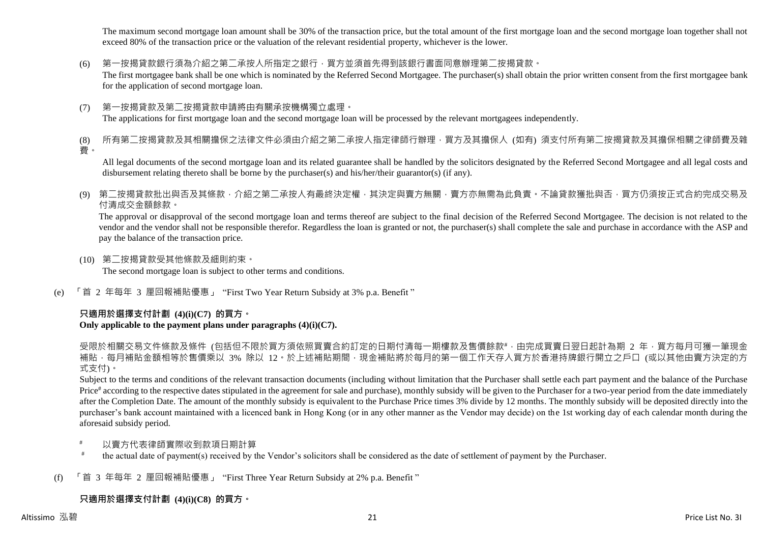The maximum second mortgage loan amount shall be 30% of the transaction price, but the total amount of the first mortgage loan and the second mortgage loan together shall not exceed 80% of the transaction price or the valuation of the relevant residential property, whichever is the lower.

(6) 第一按揭貸款銀行須為介紹之第二承按人所指定之銀行,買方並須首先得到該銀行書面同意辦理第二按揭貸款。

The first mortgagee bank shall be one which is nominated by the Referred Second Mortgagee. The purchaser(s) shall obtain the prior written consent from the first mortgagee bank for the application of second mortgage loan.

(7) 第一按揭貸款及第二按揭貸款申請將由有關承按機構獨立處理。 The applications for first mortgage loan and the second mortgage loan will be processed by the relevant mortgagees independently.

(8) 所有第二按揭貸款及其相關擔保之法律文件必須由介紹之第二承按人指定律師行辦理,買方及其擔保人 (如有) 須支付所有第二按揭貸款及其擔保相關之律師費及雜 費。

All legal documents of the second mortgage loan and its related guarantee shall be handled by the solicitors designated by the Referred Second Mortgagee and all legal costs and disbursement relating thereto shall be borne by the purchaser(s) and his/her/their guarantor(s) (if any).

(9) 第二按揭貸款批出與否及其條款,介紹之第二承按人有最終決定權,其決定與賣方無關,賣方亦無需為此負責。不論貸款獲批與否,買方仍須按正式合約完成交易及 付清成交金額餘款。

The approval or disapproval of the second mortgage loan and terms thereof are subject to the final decision of the Referred Second Mortgagee. The decision is not related to the vendor and the vendor shall not be responsible therefor. Regardless the loan is granted or not, the purchaser(s) shall complete the sale and purchase in accordance with the ASP and pay the balance of the transaction price.

- (10) 第二按揭貸款受其他條款及細則約束。 The second mortgage loan is subject to other terms and conditions.
- (e) 「首 2 年每年 3 厘回報補貼優惠」 "First Two Year Return Subsidy at 3% p.a. Benefit "

# **只適用於選擇支付計劃 (4)(i)(C7) 的買方。**

# **Only applicable to the payment plans under paragraphs (4)(i)(C7).**

受限於相關交易文件條款及條件 (包括但不限於買方須依照買賣合約訂定的日期付清每一期樓款及售價餘款#,由完成買賣日翌日起計為期 2 年,買方每月可獲一筆現金 補貼,每月補貼金額相等於售價乘以 3% 除以 12。於上述補貼期間,現金補貼將於每月的第一個工作天存入買方於香港持牌銀行開立之戶口 (或以其他由賣方決定的方 式支付)。

Subject to the terms and conditions of the relevant transaction documents (including without limitation that the Purchaser shall settle each part payment and the balance of the Purchase Price<sup>#</sup> according to the respective dates stipulated in the agreement for sale and purchase), monthly subsidy will be given to the Purchaser for a two-year period from the date immediately after the Completion Date. The amount of the monthly subsidy is equivalent to the Purchase Price times 3% divide by 12 months. The monthly subsidy will be deposited directly into the purchaser's bank account maintained with a licenced bank in Hong Kong (or in any other manner as the Vendor may decide) on the 1st working day of each calendar month during the aforesaid subsidy period.

- 以賣方代表律師實際收到款項日期計算
- # the actual date of payment(s) received by the Vendor's solicitors shall be considered as the date of settlement of payment by the Purchaser.
- (f) 「首 3 年每年 2 厘回報補貼優惠」 "First Three Year Return Subsidy at 2% p.a. Benefit "

# **只適用於選擇支付計劃 (4)(i)(C8) 的買方。**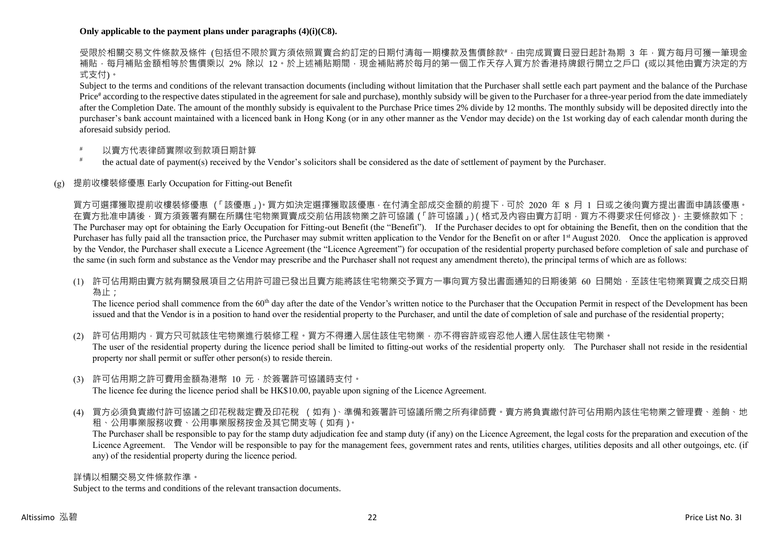# **Only applicable to the payment plans under paragraphs (4)(i)(C8).**

受限於相關交易文件條款及條件 (包括但不限於買方須依照買賣合約訂定的日期付清每一期樓款及售價餘款#,由完成買賣日翌日起計為期 3 年,買方每月可獲一筆現金 補貼,每月補貼金額相等於售價乘以 2% 除以 12。於上述補貼期間,現金補貼將於每月的第一個工作天存入買方於香港持牌銀行開立之戶口 (或以其他由賣方決定的方 式支付)。

Subject to the terms and conditions of the relevant transaction documents (including without limitation that the Purchaser shall settle each part payment and the balance of the Purchase Price<sup>#</sup> according to the respective dates stipulated in the agreement for sale and purchase), monthly subsidy will be given to the Purchaser for a three-year period from the date immediately after the Completion Date. The amount of the monthly subsidy is equivalent to the Purchase Price times 2% divide by 12 months. The monthly subsidy will be deposited directly into the purchaser's bank account maintained with a licenced bank in Hong Kong (or in any other manner as the Vendor may decide) on the 1st working day of each calendar month during the aforesaid subsidy period.

- 以賣方代表律師實際收到款項日期計算
- # the actual date of payment(s) received by the Vendor's solicitors shall be considered as the date of settlement of payment by the Purchaser.

# (g) 提前收樓裝修優惠 Early Occupation for Fitting-out Benefit

買方可選擇獲取提前收樓裝修優惠 (「該優惠」)。買方如決定選擇獲取該優惠,在付清全部成交金額的前提下,可於 2020 年 8 月 1 日或之後向賣方提出書面申請該優惠。 在賣方批准申請後,買方須簽署有關在所購住宅物業買賣成交前佔用該物業之許可協議(「許可協議」)(格式及內容由賣方訂明,買方不得要求任何修改),主要條款如下: The Purchaser may opt for obtaining the Early Occupation for Fitting-out Benefit (the "Benefit"). If the Purchaser decides to opt for obtaining the Benefit, then on the condition that the Purchaser has fully paid all the transaction price, the Purchaser may submit written application to the Vendor for the Benefit on or after 1<sup>st</sup> August 2020. Once the application is approved by the Vendor, the Purchaser shall execute a Licence Agreement (the "Licence Agreement") for occupation of the residential property purchased before completion of sale and purchase of the same (in such form and substance as the Vendor may prescribe and the Purchaser shall not request any amendment thereto), the principal terms of which are as follows:

(1) 許可佔用期由賣方就有關發展項目之佔用許可證已發出且賣方能將該住宅物業交予買方一事向買方發出書面通知的日期後第 60 日開始,至該住宅物業買賣之成交日期 為止;

The licence period shall commence from the 60<sup>th</sup> day after the date of the Vendor's written notice to the Purchaser that the Occupation Permit in respect of the Development has been issued and that the Vendor is in a position to hand over the residential property to the Purchaser, and until the date of completion of sale and purchase of the residential property;

(2) 許可佔用期内,買方只可就該住宅物業進行裝修工程。買方不得遷入居住該住宅物業,亦不得容許或容忍他人遷入居住該住宅物業。 The user of the residential property during the licence period shall be limited to fitting-out works of the residential property only. The Purchaser shall not reside in the residential property nor shall permit or suffer other person(s) to reside therein.

- (3) 許可佔用期之許可費用金額為港幣 10 元,於簽署許可協議時支付。 The licence fee during the licence period shall be HK\$10.00, payable upon signing of the Licence Agreement.
- (4) 買方必須負責繳付許可協議之印花稅裁定費及印花稅 (如有)、準備和簽署許可協議所需之所有律師費。賣方將負責繳付許可佔用期內該住宅物業之管理費、差餉、地

租、公用事業服務收費、公用事業服務按金及其它開支等(如有)。

The Purchaser shall be responsible to pay for the stamp duty adjudication fee and stamp duty (if any) on the Licence Agreement, the legal costs for the preparation and execution of the Licence Agreement. The Vendor will be responsible to pay for the management fees, government rates and rents, utilities charges, utilities deposits and all other outgoings, etc. (if any) of the residential property during the licence period.

詳情以相關交易文件條款作準。

Subject to the terms and conditions of the relevant transaction documents.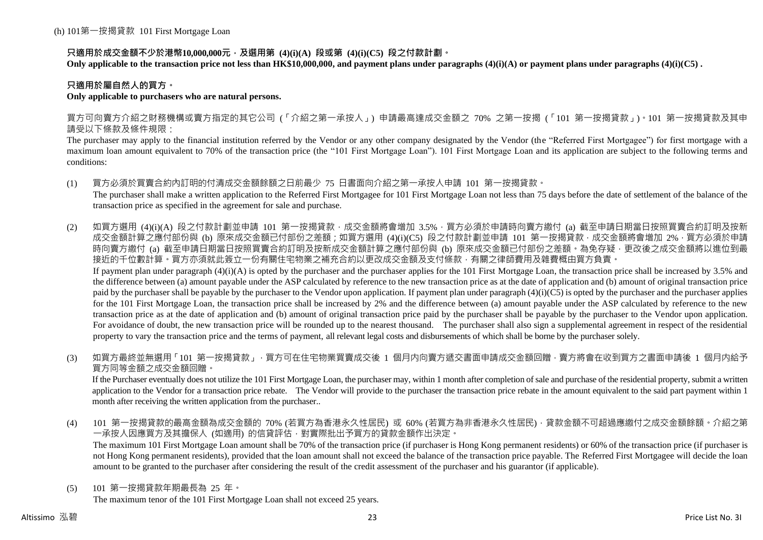# **只適用於成交金額不少於港幣10,000,000元,及選用第 (4)(i)(A) 段或第 (4)(i)(C5) 段之付款計劃。**

**Only applicable to the transaction price not less than HK\$10,000,000, and payment plans under paragraphs (4)(i)(A) or payment plans under paragraphs (4)(i)(C5) .**

# **只適用於屬自然人的買方。**

#### **Only applicable to purchasers who are natural persons.**

買方可向賣方介紹之財務機構或賣方指定的其它公司 (「介紹之第一承按人」) 申請最高達成交金額之 70% 之第一按揭 (「101 第一按揭貸款」)。101 第一按揭貸款及其申 請受以下條款及條件規限:

The purchaser may apply to the financial institution referred by the Vendor or any other company designated by the Vendor (the "Referred First Mortgagee") for first mortgage with a maximum loan amount equivalent to 70% of the transaction price (the "101 First Mortgage Loan"). 101 First Mortgage Loan and its application are subject to the following terms and conditions:

(1) 買方必須於買賣合約內訂明的付清成交金額餘額之日前最少 75 日書面向介紹之第一承按人申請 101 第一按揭貸款。

The purchaser shall make a written application to the Referred First Mortgagee for 101 First Mortgage Loan not less than 75 days before the date of settlement of the balance of the transaction price as specified in the agreement for sale and purchase.

(2) 如買方選用 (4)(i)(A) 段之付款計劃並申請 101 第一按揭貸款,成交金額將會增加 3.5%,買方必須於申請時向賣方繳付 (a) 截至申請日期當日按照買賣合約訂明及按新 成交金額計算之應付部份與 (b) 原來成交金額已付部份之差額;如買方選用 (4)(i)(C5) 段之付款計劃並申請 101 第一按揭貸款,成交金額將會增加 2%,買方必須於申請 時向賣方繳付 (a) 截至申請日期當日按照買賣合約訂明及按新成交金額計算之應付部份與 (b) 原來成交金額已付部份之差額。為免存疑,更改後之成交金額將以進位到最 接近的千位數計算。買方亦須就此簽立一份有關住宅物業之補充合約以更改成交金額及支付條款,有關之律師費用及雜費概由買方負責。 If payment plan under paragraph  $(4)(i)(A)$  is opted by the purchaser and the purchaser applies for the 101 First Mortgage Loan, the transaction price shall be increased by 3.5% and

the difference between (a) amount payable under the ASP calculated by reference to the new transaction price as at the date of application and (b) amount of original transaction price paid by the purchaser shall be payable by the purchaser to the Vendor upon application. If payment plan under paragraph  $(4)(i)(C5)$  is opted by the purchaser and the purchaser applies for the 101 First Mortgage Loan, the transaction price shall be increased by 2% and the difference between (a) amount payable under the ASP calculated by reference to the new transaction price as at the date of application and (b) amount of original transaction price paid by the purchaser shall be payable by the purchaser to the Vendor upon application. For avoidance of doubt, the new transaction price will be rounded up to the nearest thousand. The purchaser shall also sign a supplemental agreement in respect of the residential property to vary the transaction price and the terms of payment, all relevant legal costs and disbursements of which shall be borne by the purchaser solely.

(3) 如買方最終並無選用「101 第一按揭貸款」,買方可在住宅物業買賣成交後 1 個月内向賣方遞交書面申請成交金額回贈,賣方將會在收到買方之書面申請後 1 個月内給予 買方同等金額之成交金額回贈。

If the Purchaser eventually does not utilize the 101 First Mortgage Loan, the purchaser may, within 1 month after completion of sale and purchase of the residential property, submit a written application to the Vendor for a transaction price rebate. The Vendor will provide to the purchaser the transaction price rebate in the amount equivalent to the said part payment within 1 month after receiving the written application from the purchaser..

(4) 101 第一按揭貸款的最高金額為成交金額的 70% (若買方為香港永久性居民) 或 60% (若買方為非香港永久性居民),貸款金額不可超過應繳付之成交金額餘額。介紹之第 一承按人因應買方及其擔保人 (如適用) 的信貸評估,對實際批出予買方的貸款金額作出決定。

The maximum 101 First Mortgage Loan amount shall be 70% of the transaction price (if purchaser is Hong Kong permanent residents) or 60% of the transaction price (if purchaser is not Hong Kong permanent residents), provided that the loan amount shall not exceed the balance of the transaction price payable. The Referred First Mortgagee will decide the loan amount to be granted to the purchaser after considering the result of the credit assessment of the purchaser and his guarantor (if applicable).

(5) 101 第一按揭貸款年期最長為 25 年。

The maximum tenor of the 101 First Mortgage Loan shall not exceed 25 years.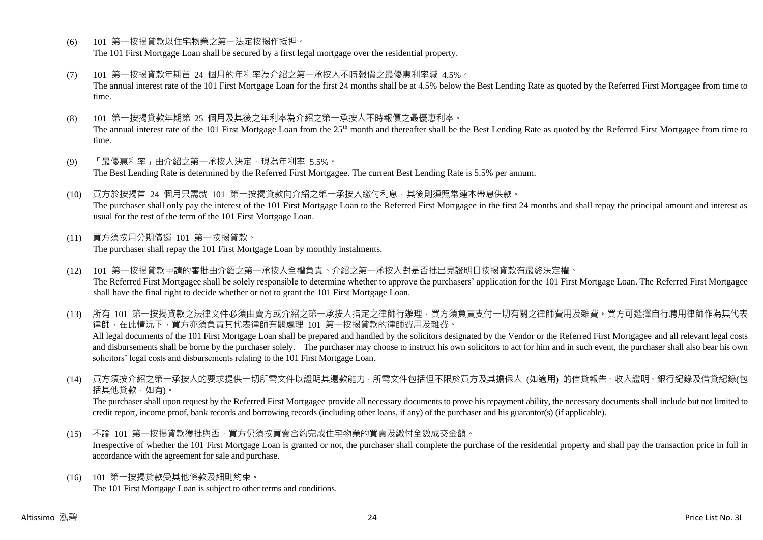- (6) 101 第一按揭貸款以住宅物業之第一法定按揭作抵押。 The 101 First Mortgage Loan shall be secured by a first legal mortgage over the residential property.
- (7) 101 第一按揭貸款年期首 24 個月的年利率為介紹之第一承按人不時報價之最優惠利率減 4.5%。 The annual interest rate of the 101 First Mortgage Loan for the first 24 months shall be at 4.5% below the Best Lending Rate as quoted by the Referred First Mortgagee from time to time.
- (8) 101 第一按揭貸款年期第 25 個月及其後之年利率為介紹之第一承按人不時報價之最優惠利率。 The annual interest rate of the 101 First Mortgage Loan from the 25<sup>th</sup> month and thereafter shall be the Best Lending Rate as quoted by the Referred First Mortgagee from time to time.
- (9) 「最優惠利率」由介紹之第一承按人決定,現為年利率 5.5%。 The Best Lending Rate is determined by the Referred First Mortgagee. The current Best Lending Rate is 5.5% per annum.
- (10) 買方於按揭首 24 個月只需就 101 第一按揭貸款向介紹之第一承按人繳付利息,其後則須照常連本帶息供款。 The purchaser shall only pay the interest of the 101 First Mortgage Loan to the Referred First Mortgagee in the first 24 months and shall repay the principal amount and interest as usual for the rest of the term of the 101 First Mortgage Loan.
- (11) 買方須按月分期償還 101 第一按揭貸款。 The purchaser shall repay the 101 First Mortgage Loan by monthly instalments.
- (12) 101 第一按揭貸款申請的審批由介紹之第一承按人全權負責。介紹之第一承按人對是否批出見證明日按揭貸款有最終決定權。 The Referred First Mortgagee shall be solely responsible to determine whether to approve the purchasers' application for the 101 First Mortgage Loan. The Referred First Mortgagee shall have the final right to decide whether or not to grant the 101 First Mortgage Loan.

(13) 所有 101 第一按揭貸款之法律文件必須由賣方或介紹之第一承按人指定之律師行辦理,買方須負責支付一切有關之律師費用及雜費。買方可選擇自行聘用律師作為其代表 律師,在此情況下,買方亦須負責其代表律師有關處理 101 第一按揭貸款的律師費用及雜費。 All legal documents of the 101 First Mortgage Loan shall be prepared and handled by the solicitors designated by the Vendor or the Referred First Mortgagee and all relevant legal costs and disbursements shall be borne by the purchaser solely. The purchaser may choose to instruct his own solicitors to act for him and in such event, the purchaser shall also bear his own solicitors' legal costs and disbursements relating to the 101 First Mortgage Loan.

(14) 買方須按介紹之第一承按人的要求提供一切所需文件以證明其還款能力,所需文件包括但不限於買方及其擔保人 (如適用) 的信貸報告、收入證明、銀行紀錄及借貸紀錄(包 括其他貸款,如有)。

The purchaser shall upon request by the Referred First Mortgagee provide all necessary documents to prove his repayment ability, the necessary documents shall include but not limited to credit report, income proof, bank records and borrowing records (including other loans, if any) of the purchaser and his guarantor(s) (if applicable).

- (15) 不論 101 第一按揭貸款獲批與否,買方仍須按買賣合約完成住宅物業的買賣及繳付全數成交金額。 Irrespective of whether the 101 First Mortgage Loan is granted or not, the purchaser shall complete the purchase of the residential property and shall pay the transaction price in full in accordance with the agreement for sale and purchase.
- (16) 101 第一按揭貸款受其他條款及細則約束。 The 101 First Mortgage Loan is subject to other terms and conditions.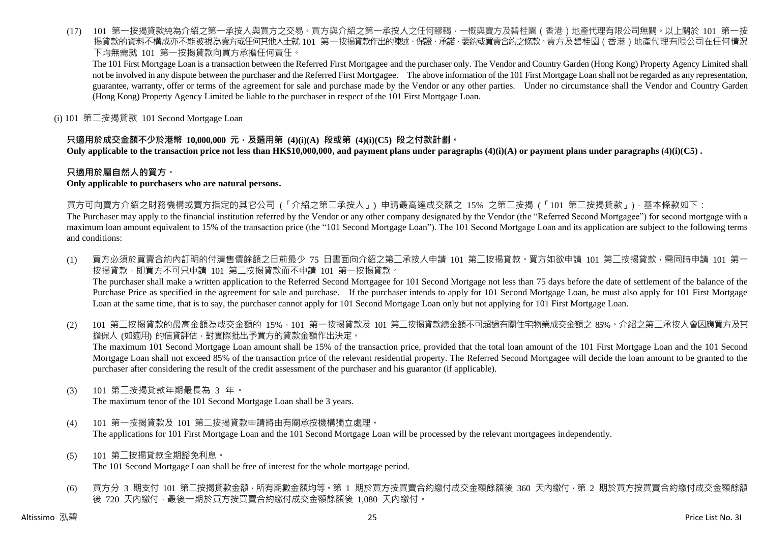(17) 101 第一按揭貸款純為介紹之第一承按人與買方之交易。買方與介紹之第一承按人之任何轇輵,一概與賣方及碧桂園(香港)地產代理有限公司無關。以上關於 101 第一按 揭貸款的資料不構成亦不能被視為賣方或任何其他人士就 101 第一按揭貸款作出的陳述、保證、承諾、要約或買賣合約之條款。賣方及碧桂園(香港)地產代理有限公司在任何情況 下均無需就 101 第一按揭貸款向買方承擔任何責任。

The 101 First Mortgage Loan is a transaction between the Referred First Mortgagee and the purchaser only. The Vendor and Country Garden (Hong Kong) Property Agency Limited shall not be involved in any dispute between the purchaser and the Referred First Mortgagee. The above information of the 101 First Mortgage Loan shall not be regarded as any representation, guarantee, warranty, offer or terms of the agreement for sale and purchase made by the Vendor or any other parties. Under no circumstance shall the Vendor and Country Garden (Hong Kong) Property Agency Limited be liable to the purchaser in respect of the 101 First Mortgage Loan.

(i) 101 第二按揭貸款 101 Second Mortgage Loan

# **只適用於成交金額不少於港幣 10,000,000 元,及選用第 (4)(i)(A) 段或第 (4)(i)(C5) 段之付款計劃。**

**Only applicable to the transaction price not less than HK\$10,000,000, and payment plans under paragraphs (4)(i)(A) or payment plans under paragraphs (4)(i)(C5) .**

# **只適用於屬自然人的買方。**

#### **Only applicable to purchasers who are natural persons.**

買方可向賣方介紹之財務機構或賣方指定的其它公司 (「介紹之第二承按人」) 申請最高達成交額之 15% 之第二按揭 (「101 第二按揭貸款」),基本條款如下:

The Purchaser may apply to the financial institution referred by the Vendor or any other company designated by the Vendor (the "Referred Second Mortgagee") for second mortgage with a maximum loan amount equivalent to 15% of the transaction price (the "101 Second Mortgage Loan"). The 101 Second Mortgage Loan and its application are subject to the following terms and conditions:

- (1) 買方必須於買賣合約內訂明的付清售價餘額之日前最少 75 日書面向介紹之第二承按人申請 101 第二按揭貸款。買方如欲申請 101 第二按揭貸款,需同時申請 101 第一 按揭貸款,即買方不可只申請 101 第二按揭貸款而不申請 101 第一按揭貸款。 The purchaser shall make a written application to the Referred Second Mortgagee for 101 Second Mortgage not less than 75 days before the date of settlement of the balance of the Purchase Price as specified in the agreement for sale and purchase. If the purchaser intends to apply for 101 Second Mortgage Loan, he must also apply for 101 First Mortgage Loan at the same time, that is to say, the purchaser cannot apply for 101 Second Mortgage Loan only but not applying for 101 First Mortgage Loan.
- (2) 101 第二按揭貸款的最高金額為成交金額的 15%,101 第一按揭貸款及 101 第二按揭貸款總金額不可超過有關住宅物業成交金額之 85%。介紹之第二承按人會因應買方及其 擔保人 (如適用) 的信貸評估,對實際批出予買方的貸款金額作出決定。 The maximum 101 Second Mortgage Loan amount shall be 15% of the transaction price, provided that the total loan amount of the 101 First Mortgage Loan and the 101 Second Mortgage Loan shall not exceed 85% of the transaction price of the relevant residential property. The Referred Second Mortgagee will decide the loan amount to be granted to the purchaser after considering the result of the credit assessment of the purchaser and his guarantor (if applicable).
- (3) 101 第二按揭貸款年期最長為 3 年。

The maximum tenor of the 101 Second Mortgage Loan shall be 3 years.

- (4) 101 第一按揭貸款及 101 第二按揭貸款申請將由有關承按機構獨立處理。 The applications for 101 First Mortgage Loan and the 101 Second Mortgage Loan will be processed by the relevant mortgagees independently.
- (5) 101 第二按揭貸款全期豁免利息。 The 101 Second Mortgage Loan shall be free of interest for the whole mortgage period.
- (6) 買方分 3 期支付 101 第二按揭貸款金額,所有期數金額均等。第 1 期於買方按買賣合約繳付成交金額餘額後 360 天內繳付,第 2 期於買方按買賣合約繳付成交金額餘額 後 720 天內繳付,最後一期於買方按買賣合約繳付成交金額餘額後 1,080 天內繳付。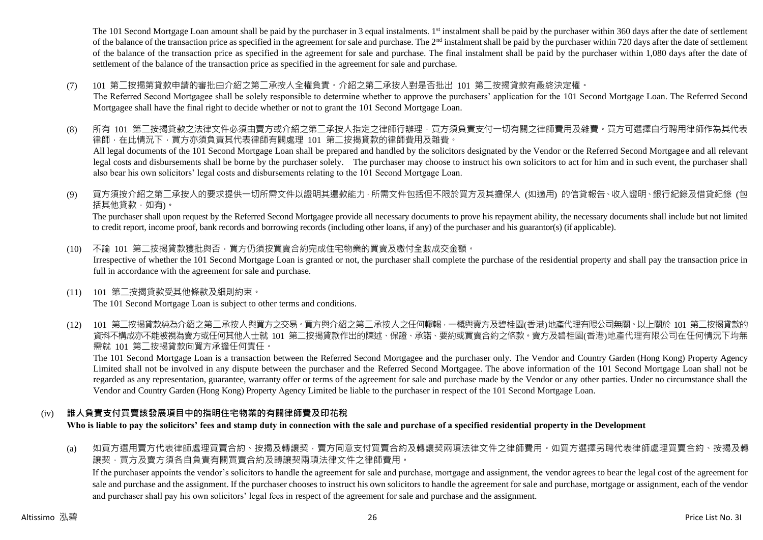The 101 Second Mortgage Loan amount shall be paid by the purchaser in 3 equal instalments. 1<sup>st</sup> instalment shall be paid by the purchaser within 360 days after the date of settlement of the balance of the transaction price as specified in the agreement for sale and purchase. The  $2<sup>nd</sup>$  instalment shall be paid by the purchaser within 720 days after the date of settlement of the balance of the transaction price as specified in the agreement for sale and purchase. The final instalment shall be paid by the purchaser within 1,080 days after the date of settlement of the balance of the transaction price as specified in the agreement for sale and purchase.

(7) 101 第二按揭第貸款申請的審批由介紹之第二承按人全權負責。介紹之第二承按人對是否批出 101 第二按揭貸款有最終決定權。

The Referred Second Mortgagee shall be solely responsible to determine whether to approve the purchasers' application for the 101 Second Mortgage Loan. The Referred Second Mortgagee shall have the final right to decide whether or not to grant the 101 Second Mortgage Loan.

- (8) 所有 101 第二按揭貸款之法律文件必須由賣方或介紹之第二承按人指定之律師行辦理,買方須負責支付一切有關之律師費用及雜費。買方可選擇自行聘用律師作為其代表 律師,在此情況下,買方亦須負責其代表律師有關處理 101 第二按揭貸款的律師費用及雜費。 All legal documents of the 101 Second Mortgage Loan shall be prepared and handled by the solicitors designated by the Vendor or the Referred Second Mortgagee and all relevant legal costs and disbursements shall be borne by the purchaser solely. The purchaser may choose to instruct his own solicitors to act for him and in such event, the purchaser shall also bear his own solicitors' legal costs and disbursements relating to the 101 Second Mortgage Loan.
- (9) 買方須按介紹之第二承按人的要求提供一切所需文件以證明其還款能力,所需文件包括但不限於買方及其擔保人 (如適用) 的信貸報告、收入證明、銀行紀錄及借貸紀錄 (包 括其他貸款,如有)。

The purchaser shall upon request by the Referred Second Mortgagee provide all necessary documents to prove his repayment ability, the necessary documents shall include but not limited to credit report, income proof, bank records and borrowing records (including other loans, if any) of the purchaser and his guarantor(s) (if applicable).

- (10) 不論 101 第二按揭貸款獲批與否,買方仍須按買賣合約完成住宅物業的買賣及繳付全數成交金額。 Irrespective of whether the 101 Second Mortgage Loan is granted or not, the purchaser shall complete the purchase of the residential property and shall pay the transaction price in full in accordance with the agreement for sale and purchase.
- (11) 101 第二按揭貸款受其他條款及細則約束。 The 101 Second Mortgage Loan is subject to other terms and conditions.
- (12) 101 第二按揭貸款純為介紹之第二承按人與買方之交易。買方與介紹之第二承按人之任何轇輵,一概與賣方及碧桂園(香港)地產代理有限公司無關。以上關於 101 第二按揭貸款的 資料不構成亦不能被視為賣方或任何其他人士就 101 第二按揭貸款作出的陳述、保證、承諾、要約或買賣合約之條款。賣方及碧桂園(香港)地產代理有限公司在任何情況下均無 需就 101 第二按揭貸款向買方承擔任何責任。

The 101 Second Mortgage Loan is a transaction between the Referred Second Mortgagee and the purchaser only. The Vendor and Country Garden (Hong Kong) Property Agency Limited shall not be involved in any dispute between the purchaser and the Referred Second Mortgagee. The above information of the 101 Second Mortgage Loan shall not be regarded as any representation, guarantee, warranty offer or terms of the agreement for sale and purchase made by the Vendor or any other parties. Under no circumstance shall the Vendor and Country Garden (Hong Kong) Property Agency Limited be liable to the purchaser in respect of the 101 Second Mortgage Loan.

# (iv) **誰人負責支付買賣該發展項目中的指明住宅物業的有關律師費及印花稅**

**Who is liable to pay the solicitors' fees and stamp duty in connection with the sale and purchase of a specified residential property in the Development**

(a) 如買方選用賣方代表律師處理買賣合約、按揭及轉讓契,賣方同意支付買賣合約及轉讓契兩項法律文件之律師費用。如買方選擇另聘代表律師處理買賣合約、按揭及轉 讓契,買方及賣方須各自負責有關買賣合約及轉讓契兩項法律文件之律師費用。

If the purchaser appoints the vendor's solicitors to handle the agreement for sale and purchase, mortgage and assignment, the vendor agrees to bear the legal cost of the agreement for sale and purchase and the assignment. If the purchaser chooses to instruct his own solicitors to handle the agreement for sale and purchase, mortgage or assignment, each of the vendor and purchaser shall pay his own solicitors' legal fees in respect of the agreement for sale and purchase and the assignment.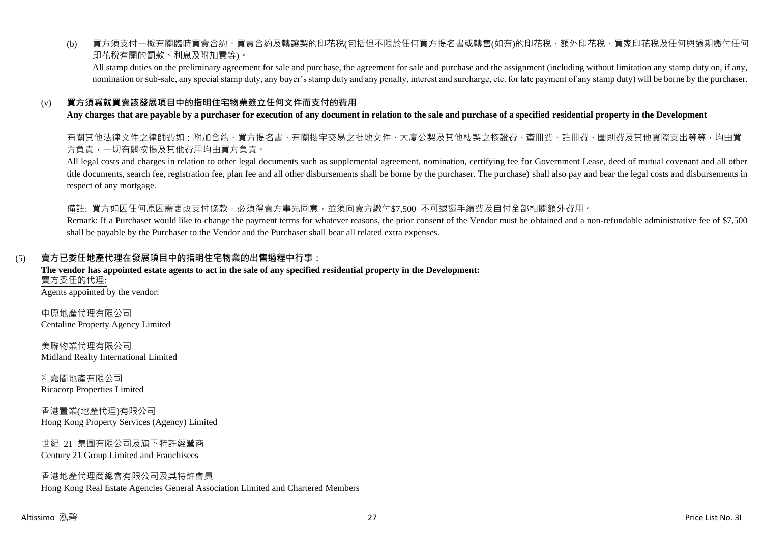(b) 買方須支付一概有關臨時買賣合約、買賣合約及轉讓契的印花稅(包括但不限於任何買方提名書或轉售(如有)的印花稅、額外印花稅、買家印花稅及任何與過期繳付任何 印花稅有關的罰款、利息及附加費等)。

All stamp duties on the preliminary agreement for sale and purchase, the agreement for sale and purchase and the assignment (including without limitation any stamp duty on, if any, nomination or sub-sale, any special stamp duty, any buyer's stamp duty and any penalty, interest and surcharge, etc. for late payment of any stamp duty) will be borne by the purchaser.

# (v) **買方須爲就買賣該發展項目中的指明住宅物業簽立任何文件而支付的費用**

#### **Any charges that are payable by a purchaser for execution of any document in relation to the sale and purchase of a specified residential property in the Development**

有關其他法律文件之律師費如:附加合約、買方提名書、有關樓宇交易之批地文件、大廈公契及其他樓契之核證費、查冊費、註冊費、圖則費及其他實際支出等等,均由買 方負責,一切有關按揭及其他費用均由買方負責。

All legal costs and charges in relation to other legal documents such as supplemental agreement, nomination, certifying fee for Government Lease, deed of mutual covenant and all other title documents, search fee, registration fee, plan fee and all other disbursements shall be borne by the purchaser. The purchase) shall also pay and bear the legal costs and disbursements in respect of any mortgage.

備註: 買方如因任何原因需更改支付條款,必須得賣方事先同意,並須向賣方繳付\$7,500 不可退還手續費及自付全部相關額外費用。

Remark: If a Purchaser would like to change the payment terms for whatever reasons, the prior consent of the Vendor must be obtained and a non-refundable administrative fee of \$7,500 shall be payable by the Purchaser to the Vendor and the Purchaser shall bear all related extra expenses.

# (5) **賣方已委任地產代理在發展項目中的指明住宅物業的出售過程中行事:**

#### **The vendor has appointed estate agents to act in the sale of any specified residential property in the Development:** 賣方委任的代理: Agents appointed by the vendor:

中原地產代理有限公司 Centaline Property Agency Limited

美聯物業代理有限公司 Midland Realty International Limited

利嘉閣地產有限公司 Ricacorp Properties Limited

香港置業(地產代理)有限公司 Hong Kong Property Services (Agency) Limited

世紀 21 集團有限公司及旗下特許經營商 Century 21 Group Limited and Franchisees

#### 香港地產代理商總會有限公司及其特許會員 Hong Kong Real Estate Agencies General Association Limited and Chartered Members